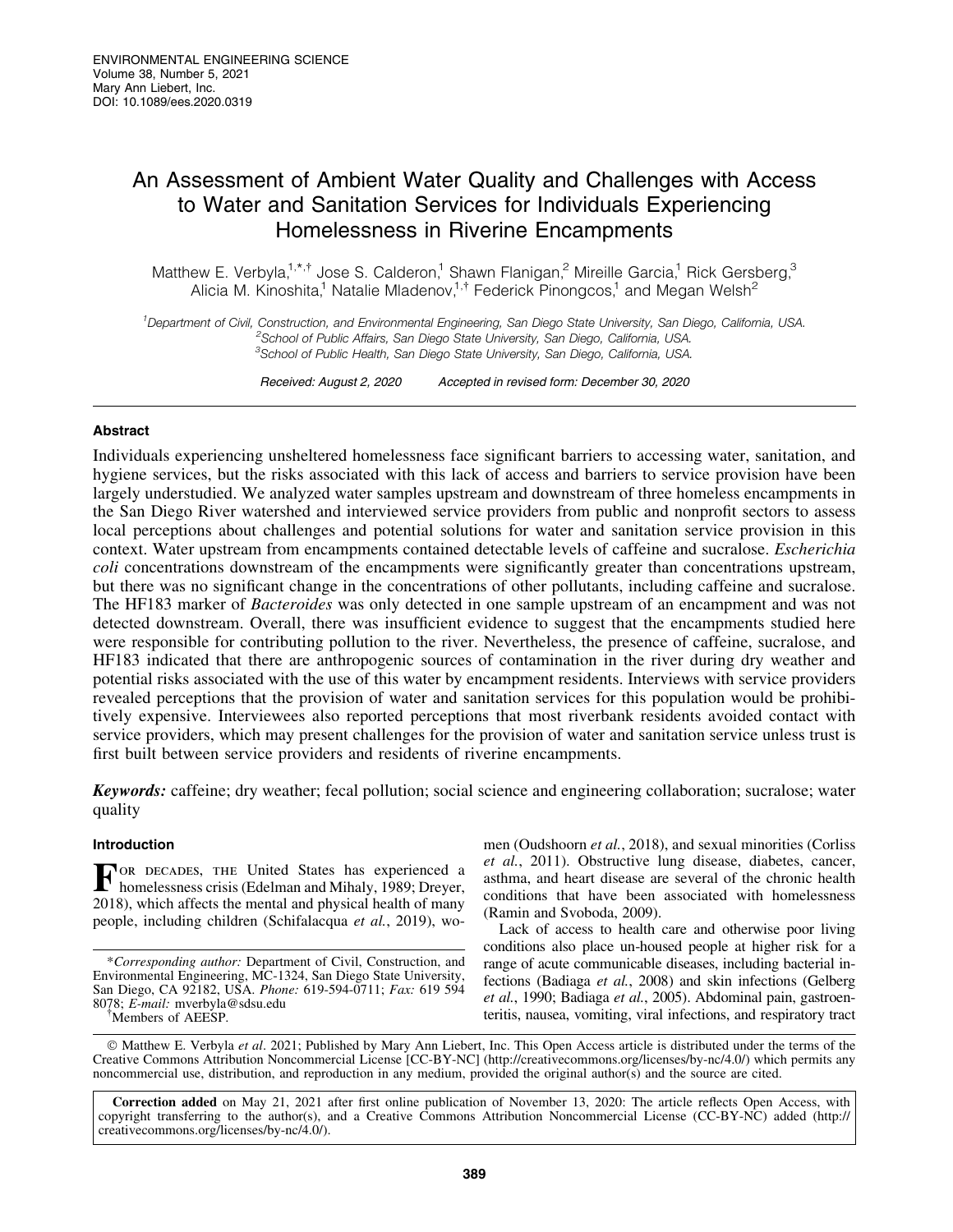# An Assessment of Ambient Water Quality and Challenges with Access to Water and Sanitation Services for Individuals Experiencing Homelessness in Riverine Encampments

Matthew E. Verbyla,<sup>1,\*,†</sup> Jose S. Calderon,<sup>1</sup> Shawn Flanigan,<sup>2</sup> Mireille Garcia,<sup>1</sup> Rick Gersberg,<sup>3</sup> Alicia M. Kinoshita,<sup>1</sup> Natalie Mladenov,<sup>1,†</sup> Federick Pinongcos,<sup>1</sup> and Megan Welsh<sup>2</sup>

<sup>1</sup>Department of Civil, Construction, and Environmental Engineering, San Diego State University, San Diego, California, USA.<br><sup>2</sup>Sebesi a filial filial Affaire, San Diego State University, San Diego, California, USA. <sup>2</sup>School of Public Affairs, San Diego State University, San Diego, California, USA. <sup>3</sup>School of Public Health, San Diego State University, San Diego, California, USA.

Received: August 2, 2020 Accepted in revised form: December 30, 2020

# Abstract

Individuals experiencing unsheltered homelessness face significant barriers to accessing water, sanitation, and hygiene services, but the risks associated with this lack of access and barriers to service provision have been largely understudied. We analyzed water samples upstream and downstream of three homeless encampments in the San Diego River watershed and interviewed service providers from public and nonprofit sectors to assess local perceptions about challenges and potential solutions for water and sanitation service provision in this context. Water upstream from encampments contained detectable levels of caffeine and sucralose. *Escherichia coli* concentrations downstream of the encampments were significantly greater than concentrations upstream, but there was no significant change in the concentrations of other pollutants, including caffeine and sucralose. The HF183 marker of *Bacteroides* was only detected in one sample upstream of an encampment and was not detected downstream. Overall, there was insufficient evidence to suggest that the encampments studied here were responsible for contributing pollution to the river. Nevertheless, the presence of caffeine, sucralose, and HF183 indicated that there are anthropogenic sources of contamination in the river during dry weather and potential risks associated with the use of this water by encampment residents. Interviews with service providers revealed perceptions that the provision of water and sanitation services for this population would be prohibitively expensive. Interviewees also reported perceptions that most riverbank residents avoided contact with service providers, which may present challenges for the provision of water and sanitation service unless trust is first built between service providers and residents of riverine encampments.

Keywords: caffeine; dry weather; fecal pollution; social science and engineering collaboration; sucralose; water quality

## Introduction

FOR DECADES, THE United States has experienced a homelessness crisis (Ed.1) homelessness crisis (Edelman and Mihaly, 1989; Dreyer, 2018), which affects the mental and physical health of many people, including children (Schifalacqua *et al.*, 2019), wo-

\**Corresponding author:* Department of Civil, Construction, and Environmental Engineering, MC-1324, San Diego State University, San Diego, CA 92182, USA. *Phone:* 619-594-0711; *Fax:* 619 594 8078; *E-mail:* mverbyla@sdsu.edu {

<sup>†</sup>Members of AEESP.

men (Oudshoorn *et al.*, 2018), and sexual minorities (Corliss *et al.*, 2011). Obstructive lung disease, diabetes, cancer, asthma, and heart disease are several of the chronic health conditions that have been associated with homelessness (Ramin and Svoboda, 2009).

Lack of access to health care and otherwise poor living conditions also place un-housed people at higher risk for a range of acute communicable diseases, including bacterial infections (Badiaga *et al.*, 2008) and skin infections (Gelberg *et al.*, 1990; Badiaga *et al.*, 2005). Abdominal pain, gastroenteritis, nausea, vomiting, viral infections, and respiratory tract

- Matthew E. Verbyla *et al*. 2021; Published by Mary Ann Liebert, Inc. This Open Access article is distributed under the terms of the Creative Commons Attribution Noncommercial License [CC-BY-NC] (<http://creativecommons.org/licenses/by-nc/4.0/>) which permits any noncommercial use, distribution, and reproduction in any medium, provided the original author(s) and the source are cited.

Correction added on May 21, 2021 after first online publication of November 13, 2020: The article reflects Open Access, with copyright transferring to the author(s), and a Creative Commons Attribution Noncommercial License (CC-BY-NC) added [\(http://](http://creativecommons.org/licenses/by-nc/4.0/) [creativecommons.org/licenses/by-nc/4.0/\)](http://creativecommons.org/licenses/by-nc/4.0/).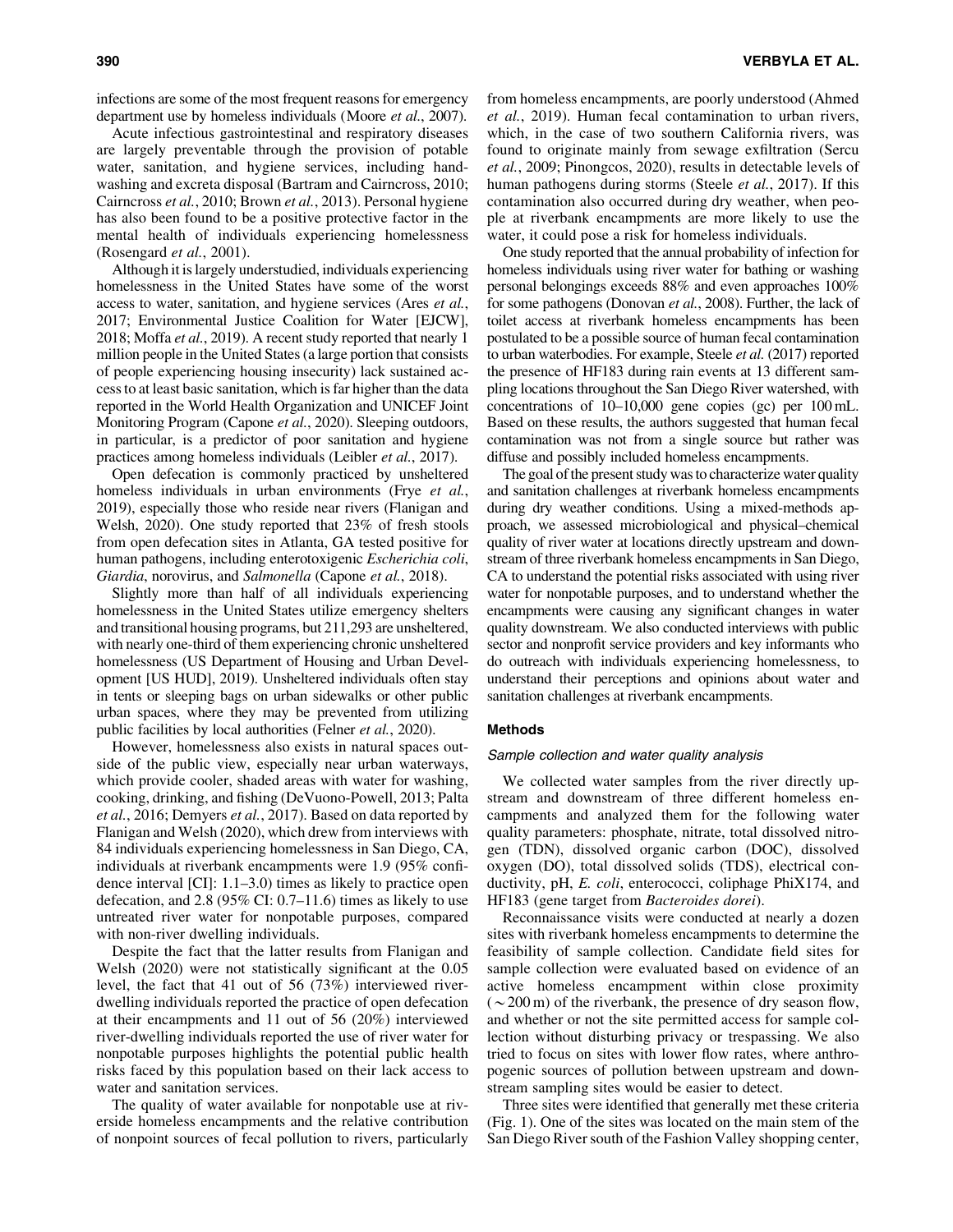infections are some of the most frequent reasons for emergency department use by homeless individuals (Moore *et al.*, 2007).

Acute infectious gastrointestinal and respiratory diseases are largely preventable through the provision of potable water, sanitation, and hygiene services, including handwashing and excreta disposal (Bartram and Cairncross, 2010; Cairncross *et al.*, 2010; Brown *et al.*, 2013). Personal hygiene has also been found to be a positive protective factor in the mental health of individuals experiencing homelessness (Rosengard *et al.*, 2001).

Although it is largely understudied, individuals experiencing homelessness in the United States have some of the worst access to water, sanitation, and hygiene services (Ares *et al.*, 2017; Environmental Justice Coalition for Water [EJCW], 2018; Moffa *et al.*, 2019). A recent study reported that nearly 1 million people in the United States (a large portion that consists of people experiencing housing insecurity) lack sustained access to at least basic sanitation, which is far higher than the data reported in the World Health Organization and UNICEF Joint Monitoring Program (Capone *et al.*, 2020). Sleeping outdoors, in particular, is a predictor of poor sanitation and hygiene practices among homeless individuals (Leibler *et al.*, 2017).

Open defecation is commonly practiced by unsheltered homeless individuals in urban environments (Frye *et al.*, 2019), especially those who reside near rivers (Flanigan and Welsh, 2020). One study reported that 23% of fresh stools from open defecation sites in Atlanta, GA tested positive for human pathogens, including enterotoxigenic *Escherichia coli*, *Giardia*, norovirus, and *Salmonella* (Capone *et al.*, 2018).

Slightly more than half of all individuals experiencing homelessness in the United States utilize emergency shelters and transitional housing programs, but 211,293 are unsheltered, with nearly one-third of them experiencing chronic unsheltered homelessness (US Department of Housing and Urban Development [US HUD], 2019). Unsheltered individuals often stay in tents or sleeping bags on urban sidewalks or other public urban spaces, where they may be prevented from utilizing public facilities by local authorities (Felner *et al.*, 2020).

However, homelessness also exists in natural spaces outside of the public view, especially near urban waterways, which provide cooler, shaded areas with water for washing, cooking, drinking, and fishing (DeVuono-Powell, 2013; Palta *et al.*, 2016; Demyers *et al.*, 2017). Based on data reported by Flanigan and Welsh (2020), which drew from interviews with 84 individuals experiencing homelessness in San Diego, CA, individuals at riverbank encampments were 1.9 (95% confidence interval [CI]: 1.1–3.0) times as likely to practice open defecation, and 2.8 (95% CI: 0.7–11.6) times as likely to use untreated river water for nonpotable purposes, compared with non-river dwelling individuals.

Despite the fact that the latter results from Flanigan and Welsh (2020) were not statistically significant at the 0.05 level, the fact that 41 out of 56 (73%) interviewed riverdwelling individuals reported the practice of open defecation at their encampments and 11 out of 56 (20%) interviewed river-dwelling individuals reported the use of river water for nonpotable purposes highlights the potential public health risks faced by this population based on their lack access to water and sanitation services.

The quality of water available for nonpotable use at riverside homeless encampments and the relative contribution of nonpoint sources of fecal pollution to rivers, particularly from homeless encampments, are poorly understood (Ahmed *et al.*, 2019). Human fecal contamination to urban rivers, which, in the case of two southern California rivers, was found to originate mainly from sewage exfiltration (Sercu *et al.*, 2009; Pinongcos, 2020), results in detectable levels of human pathogens during storms (Steele *et al.*, 2017). If this contamination also occurred during dry weather, when people at riverbank encampments are more likely to use the water, it could pose a risk for homeless individuals.

One study reported that the annual probability of infection for homeless individuals using river water for bathing or washing personal belongings exceeds 88% and even approaches 100% for some pathogens (Donovan *et al.*, 2008). Further, the lack of toilet access at riverbank homeless encampments has been postulated to be a possible source of human fecal contamination to urban waterbodies. For example, Steele *et al.* (2017) reported the presence of HF183 during rain events at 13 different sampling locations throughout the San Diego River watershed, with concentrations of 10–10,000 gene copies (gc) per 100 mL. Based on these results, the authors suggested that human fecal contamination was not from a single source but rather was diffuse and possibly included homeless encampments.

The goal of the present study was to characterize water quality and sanitation challenges at riverbank homeless encampments during dry weather conditions. Using a mixed-methods approach, we assessed microbiological and physical–chemical quality of river water at locations directly upstream and downstream of three riverbank homeless encampments in San Diego, CA to understand the potential risks associated with using river water for nonpotable purposes, and to understand whether the encampments were causing any significant changes in water quality downstream. We also conducted interviews with public sector and nonprofit service providers and key informants who do outreach with individuals experiencing homelessness, to understand their perceptions and opinions about water and sanitation challenges at riverbank encampments.

## Methods

#### Sample collection and water quality analysis

We collected water samples from the river directly upstream and downstream of three different homeless encampments and analyzed them for the following water quality parameters: phosphate, nitrate, total dissolved nitrogen (TDN), dissolved organic carbon (DOC), dissolved oxygen (DO), total dissolved solids (TDS), electrical conductivity, pH, *E. coli*, enterococci, coliphage PhiX174, and HF183 (gene target from *Bacteroides dorei*).

Reconnaissance visits were conducted at nearly a dozen sites with riverbank homeless encampments to determine the feasibility of sample collection. Candidate field sites for sample collection were evaluated based on evidence of an active homeless encampment within close proximity  $({\sim}200 \,\mathrm{m})$  of the riverbank, the presence of dry season flow, and whether or not the site permitted access for sample collection without disturbing privacy or trespassing. We also tried to focus on sites with lower flow rates, where anthropogenic sources of pollution between upstream and downstream sampling sites would be easier to detect.

Three sites were identified that generally met these criteria (Fig. 1). One of the sites was located on the main stem of the San Diego River south of the Fashion Valley shopping center,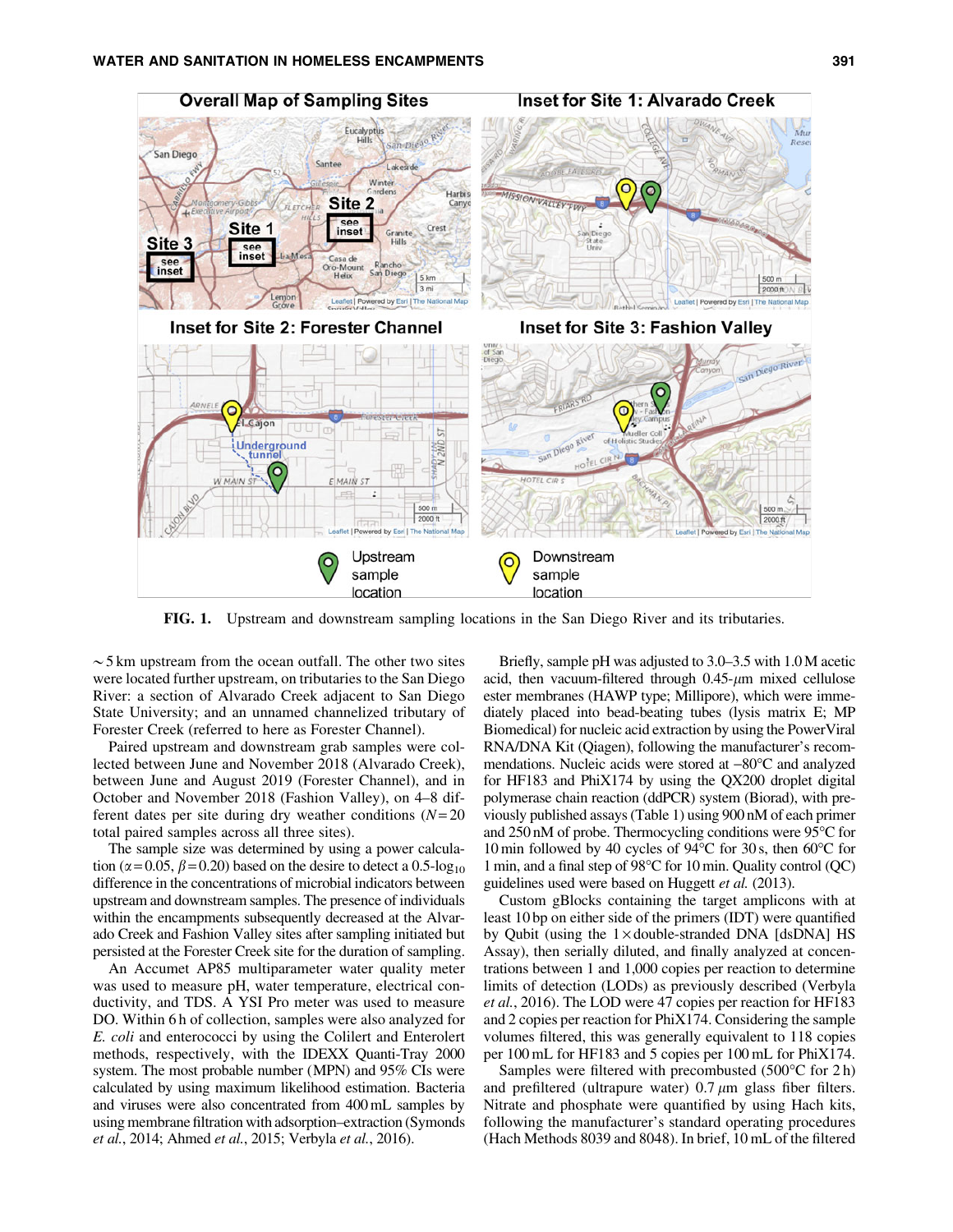

FIG. 1. Upstream and downstream sampling locations in the San Diego River and its tributaries.

 $\sim$  5 km upstream from the ocean outfall. The other two sites were located further upstream, on tributaries to the San Diego River: a section of Alvarado Creek adjacent to San Diego State University; and an unnamed channelized tributary of Forester Creek (referred to here as Forester Channel).

Paired upstream and downstream grab samples were collected between June and November 2018 (Alvarado Creek), between June and August 2019 (Forester Channel), and in October and November 2018 (Fashion Valley), on 4–8 different dates per site during dry weather conditions (*N*= 20 total paired samples across all three sites).

The sample size was determined by using a power calculation ( $\alpha$  = 0.05,  $\beta$  = 0.20) based on the desire to detect a 0.5-log<sub>10</sub> difference in the concentrations of microbial indicators between upstream and downstream samples. The presence of individuals within the encampments subsequently decreased at the Alvarado Creek and Fashion Valley sites after sampling initiated but persisted at the Forester Creek site for the duration of sampling.

An Accumet AP85 multiparameter water quality meter was used to measure pH, water temperature, electrical conductivity, and TDS. A YSI Pro meter was used to measure DO. Within 6 h of collection, samples were also analyzed for *E. coli* and enterococci by using the Colilert and Enterolert methods, respectively, with the IDEXX Quanti-Tray 2000 system. The most probable number (MPN) and 95% CIs were calculated by using maximum likelihood estimation. Bacteria and viruses were also concentrated from 400 mL samples by using membrane filtration with adsorption–extraction (Symonds *et al.*, 2014; Ahmed *et al.*, 2015; Verbyla *et al.*, 2016).

Briefly, sample pH was adjusted to 3.0–3.5 with 1.0M acetic acid, then vacuum-filtered through  $0.45$ - $\mu$ m mixed cellulose ester membranes (HAWP type; Millipore), which were immediately placed into bead-beating tubes (lysis matrix E; MP Biomedical) for nucleic acid extraction by using the PowerViral RNA/DNA Kit (Qiagen), following the manufacturer's recommendations. Nucleic acids were stored at  $-80^{\circ}$ C and analyzed for HF183 and PhiX174 by using the QX200 droplet digital polymerase chain reaction (ddPCR) system (Biorad), with previously published assays (Table 1) using 900 nM of each primer and  $250 \text{ nM}$  of probe. Thermocycling conditions were  $95^{\circ}$ C for 10 min followed by 40 cycles of  $94^{\circ}$ C for 30 s, then 60 $^{\circ}$ C for 1 min, and a final step of  $98^{\circ}$ C for 10 min. Quality control (QC) guidelines used were based on Huggett *et al.* (2013).

Custom gBlocks containing the target amplicons with at least 10 bp on either side of the primers (IDT) were quantified by Qubit (using the  $1 \times$  double-stranded DNA [dsDNA] HS Assay), then serially diluted, and finally analyzed at concentrations between 1 and 1,000 copies per reaction to determine limits of detection (LODs) as previously described (Verbyla *et al.*, 2016). The LOD were 47 copies per reaction for HF183 and 2 copies per reaction for PhiX174. Considering the sample volumes filtered, this was generally equivalent to 118 copies per 100 mL for HF183 and 5 copies per 100 mL for PhiX174.

Samples were filtered with precombusted  $(500^{\circ}C$  for 2 h) and prefiltered (ultrapure water)  $0.7 \mu m$  glass fiber filters. Nitrate and phosphate were quantified by using Hach kits, following the manufacturer's standard operating procedures (Hach Methods 8039 and 8048). In brief, 10 mL of the filtered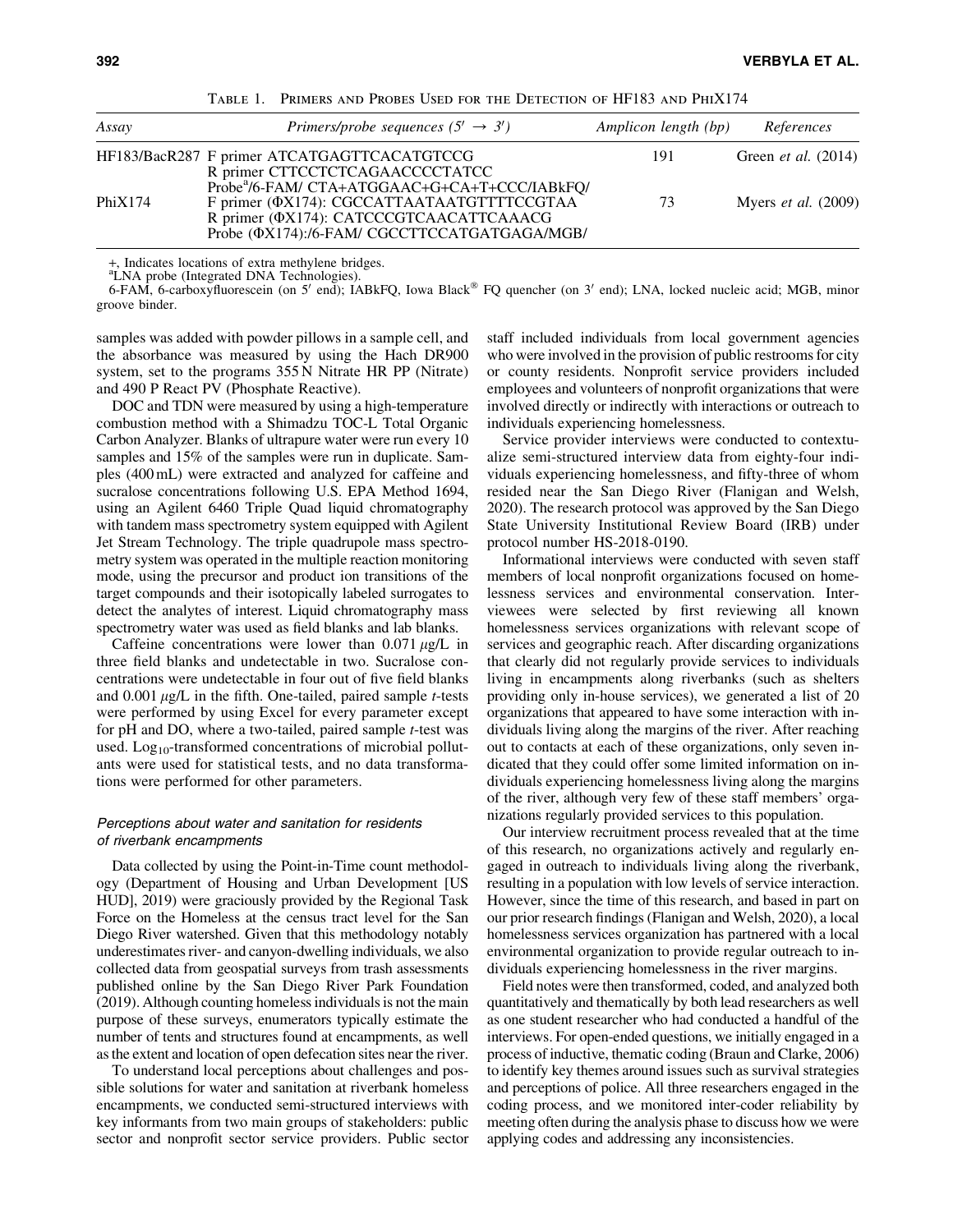| Assay   | Primers/probe sequences $(5' \rightarrow 3')$                                                                                                                                                             | Amplicon length (bp) | References                 |
|---------|-----------------------------------------------------------------------------------------------------------------------------------------------------------------------------------------------------------|----------------------|----------------------------|
|         | HF183/BacR287 F primer ATCATGAGTTCACATGTCCG<br>R primer CTTCCTCTCAGAACCCCTATCC                                                                                                                            | 191                  | Green et al. (2014)        |
| PhiX174 | Probe <sup>a</sup> /6-FAM/ CTA+ATGGAAC+G+CA+T+CCC/IABkFQ/<br>F primer (ΦΧ174): CGCCATTAATAATGTTTTCCGTAA<br>R primer (ΦΧ174): CATCCCGTCAACATTCAAACG<br>Probe ( $\Phi$ X174):/6-FAM/ CGCCTTCCATGATGAGA/MGB/ | 73                   | Myers <i>et al.</i> (2009) |

Table 1. Primers and Probes Used for the Detection of HF183 and PhiX174

+, Indicates locations of extra methylene bridges.

<sup>a</sup>LNA probe (Integrated DNA Technologies).

6-FAM, 6-carboxyfluorescein (on 5' end); IABkFQ, Iowa Black<sup>®</sup> FQ quencher (on 3' end); LNA, locked nucleic acid; MGB, minor groove binder.

samples was added with powder pillows in a sample cell, and the absorbance was measured by using the Hach DR900 system, set to the programs 355 N Nitrate HR PP (Nitrate) and 490 P React PV (Phosphate Reactive).

DOC and TDN were measured by using a high-temperature combustion method with a Shimadzu TOC-L Total Organic Carbon Analyzer. Blanks of ultrapure water were run every 10 samples and 15% of the samples were run in duplicate. Samples (400 mL) were extracted and analyzed for caffeine and sucralose concentrations following U.S. EPA Method 1694, using an Agilent 6460 Triple Quad liquid chromatography with tandem mass spectrometry system equipped with Agilent Jet Stream Technology. The triple quadrupole mass spectrometry system was operated in the multiple reaction monitoring mode, using the precursor and product ion transitions of the target compounds and their isotopically labeled surrogates to detect the analytes of interest. Liquid chromatography mass spectrometry water was used as field blanks and lab blanks.

Caffeine concentrations were lower than  $0.071 \mu$ g/L in three field blanks and undetectable in two. Sucralose concentrations were undetectable in four out of five field blanks and  $0.001 \mu g/L$  in the fifth. One-tailed, paired sample *t*-tests were performed by using Excel for every parameter except for pH and DO, where a two-tailed, paired sample *t*-test was used. Log<sub>10</sub>-transformed concentrations of microbial pollutants were used for statistical tests, and no data transformations were performed for other parameters.

## Perceptions about water and sanitation for residents of riverbank encampments

Data collected by using the Point-in-Time count methodology (Department of Housing and Urban Development [US HUD], 2019) were graciously provided by the Regional Task Force on the Homeless at the census tract level for the San Diego River watershed. Given that this methodology notably underestimates river- and canyon-dwelling individuals, we also collected data from geospatial surveys from trash assessments published online by the San Diego River Park Foundation (2019). Although counting homeless individuals is not the main purpose of these surveys, enumerators typically estimate the number of tents and structures found at encampments, as well as the extent and location of open defecation sites near the river.

To understand local perceptions about challenges and possible solutions for water and sanitation at riverbank homeless encampments, we conducted semi-structured interviews with key informants from two main groups of stakeholders: public sector and nonprofit sector service providers. Public sector staff included individuals from local government agencies who were involved in the provision of public restrooms for city or county residents. Nonprofit service providers included employees and volunteers of nonprofit organizations that were involved directly or indirectly with interactions or outreach to individuals experiencing homelessness.

Service provider interviews were conducted to contextualize semi-structured interview data from eighty-four individuals experiencing homelessness, and fifty-three of whom resided near the San Diego River (Flanigan and Welsh, 2020). The research protocol was approved by the San Diego State University Institutional Review Board (IRB) under protocol number HS-2018-0190.

Informational interviews were conducted with seven staff members of local nonprofit organizations focused on homelessness services and environmental conservation. Interviewees were selected by first reviewing all known homelessness services organizations with relevant scope of services and geographic reach. After discarding organizations that clearly did not regularly provide services to individuals living in encampments along riverbanks (such as shelters providing only in-house services), we generated a list of 20 organizations that appeared to have some interaction with individuals living along the margins of the river. After reaching out to contacts at each of these organizations, only seven indicated that they could offer some limited information on individuals experiencing homelessness living along the margins of the river, although very few of these staff members' organizations regularly provided services to this population.

Our interview recruitment process revealed that at the time of this research, no organizations actively and regularly engaged in outreach to individuals living along the riverbank, resulting in a population with low levels of service interaction. However, since the time of this research, and based in part on our prior research findings (Flanigan and Welsh, 2020), a local homelessness services organization has partnered with a local environmental organization to provide regular outreach to individuals experiencing homelessness in the river margins.

Field notes were then transformed, coded, and analyzed both quantitatively and thematically by both lead researchers as well as one student researcher who had conducted a handful of the interviews. For open-ended questions, we initially engaged in a process of inductive, thematic coding (Braun and Clarke, 2006) to identify key themes around issues such as survival strategies and perceptions of police. All three researchers engaged in the coding process, and we monitored inter-coder reliability by meeting often during the analysis phase to discuss how we were applying codes and addressing any inconsistencies.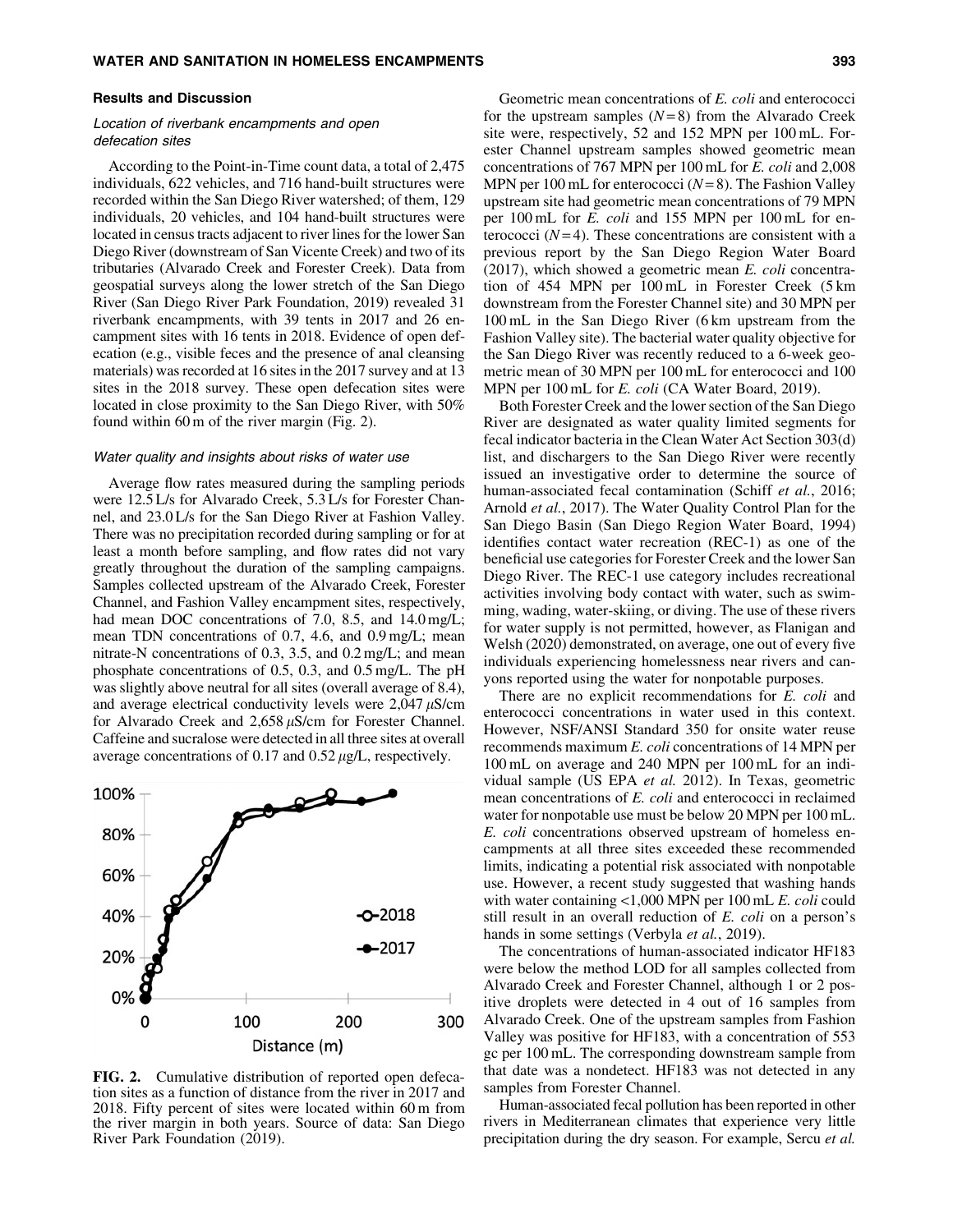#### Results and Discussion

## Location of riverbank encampments and open defecation sites

According to the Point-in-Time count data, a total of 2,475 individuals, 622 vehicles, and 716 hand-built structures were recorded within the San Diego River watershed; of them, 129 individuals, 20 vehicles, and 104 hand-built structures were located in census tracts adjacent to river lines for the lower San Diego River (downstream of San Vicente Creek) and two of its tributaries (Alvarado Creek and Forester Creek). Data from geospatial surveys along the lower stretch of the San Diego River (San Diego River Park Foundation, 2019) revealed 31 riverbank encampments, with 39 tents in 2017 and 26 encampment sites with 16 tents in 2018. Evidence of open defecation (e.g., visible feces and the presence of anal cleansing materials) was recorded at 16 sites in the 2017 survey and at 13 sites in the 2018 survey. These open defecation sites were located in close proximity to the San Diego River, with 50% found within 60 m of the river margin (Fig. 2).

#### Water quality and insights about risks of water use

Average flow rates measured during the sampling periods were 12.5 L/s for Alvarado Creek, 5.3 L/s for Forester Channel, and 23.0 L/s for the San Diego River at Fashion Valley. There was no precipitation recorded during sampling or for at least a month before sampling, and flow rates did not vary greatly throughout the duration of the sampling campaigns. Samples collected upstream of the Alvarado Creek, Forester Channel, and Fashion Valley encampment sites, respectively, had mean DOC concentrations of 7.0, 8.5, and 14.0 mg/L; mean TDN concentrations of 0.7, 4.6, and 0.9 mg/L; mean nitrate-N concentrations of 0.3, 3.5, and 0.2 mg/L; and mean phosphate concentrations of 0.5, 0.3, and 0.5 mg/L. The pH was slightly above neutral for all sites (overall average of 8.4), and average electrical conductivity levels were  $2,047 \mu$ S/cm for Alvarado Creek and  $2,658 \mu$ S/cm for Forester Channel. Caffeine and sucralose were detected in all three sites at overall average concentrations of 0.17 and  $0.52 \mu g/L$ , respectively.



FIG. 2. Cumulative distribution of reported open defecation sites as a function of distance from the river in 2017 and 2018. Fifty percent of sites were located within 60 m from the river margin in both years. Source of data: San Diego River Park Foundation (2019).

Geometric mean concentrations of *E. coli* and enterococci for the upstream samples  $(N=8)$  from the Alvarado Creek site were, respectively, 52 and 152 MPN per 100 mL. Forester Channel upstream samples showed geometric mean concentrations of 767 MPN per 100 mL for *E. coli* and 2,008 MPN per 100 mL for enterococci (*N*= 8). The Fashion Valley upstream site had geometric mean concentrations of 79 MPN per 100 mL for *E. coli* and 155 MPN per 100 mL for enterococci  $(N=4)$ . These concentrations are consistent with a previous report by the San Diego Region Water Board (2017), which showed a geometric mean *E. coli* concentration of 454 MPN per 100 mL in Forester Creek (5 km downstream from the Forester Channel site) and 30 MPN per 100 mL in the San Diego River (6 km upstream from the Fashion Valley site). The bacterial water quality objective for the San Diego River was recently reduced to a 6-week geometric mean of 30 MPN per 100 mL for enterococci and 100 MPN per 100 mL for *E. coli* (CA Water Board, 2019).

Both Forester Creek and the lower section of the San Diego River are designated as water quality limited segments for fecal indicator bacteria in the Clean Water Act Section 303(d) list, and dischargers to the San Diego River were recently issued an investigative order to determine the source of human-associated fecal contamination (Schiff *et al.*, 2016; Arnold *et al.*, 2017). The Water Quality Control Plan for the San Diego Basin (San Diego Region Water Board, 1994) identifies contact water recreation (REC-1) as one of the beneficial use categories for Forester Creek and the lower San Diego River. The REC-1 use category includes recreational activities involving body contact with water, such as swimming, wading, water-skiing, or diving. The use of these rivers for water supply is not permitted, however, as Flanigan and Welsh (2020) demonstrated, on average, one out of every five individuals experiencing homelessness near rivers and canyons reported using the water for nonpotable purposes.

There are no explicit recommendations for *E. coli* and enterococci concentrations in water used in this context. However, NSF/ANSI Standard 350 for onsite water reuse recommends maximum *E. coli* concentrations of 14 MPN per 100 mL on average and 240 MPN per 100 mL for an individual sample (US EPA *et al.* 2012). In Texas, geometric mean concentrations of *E. coli* and enterococci in reclaimed water for nonpotable use must be below 20 MPN per 100 mL. *E. coli* concentrations observed upstream of homeless encampments at all three sites exceeded these recommended limits, indicating a potential risk associated with nonpotable use. However, a recent study suggested that washing hands with water containing <1,000 MPN per 100 mL *E. coli* could still result in an overall reduction of *E. coli* on a person's hands in some settings (Verbyla *et al.*, 2019).

The concentrations of human-associated indicator HF183 were below the method LOD for all samples collected from Alvarado Creek and Forester Channel, although 1 or 2 positive droplets were detected in 4 out of 16 samples from Alvarado Creek. One of the upstream samples from Fashion Valley was positive for HF183, with a concentration of 553 gc per 100 mL. The corresponding downstream sample from that date was a nondetect. HF183 was not detected in any samples from Forester Channel.

Human-associated fecal pollution has been reported in other rivers in Mediterranean climates that experience very little precipitation during the dry season. For example, Sercu *et al.*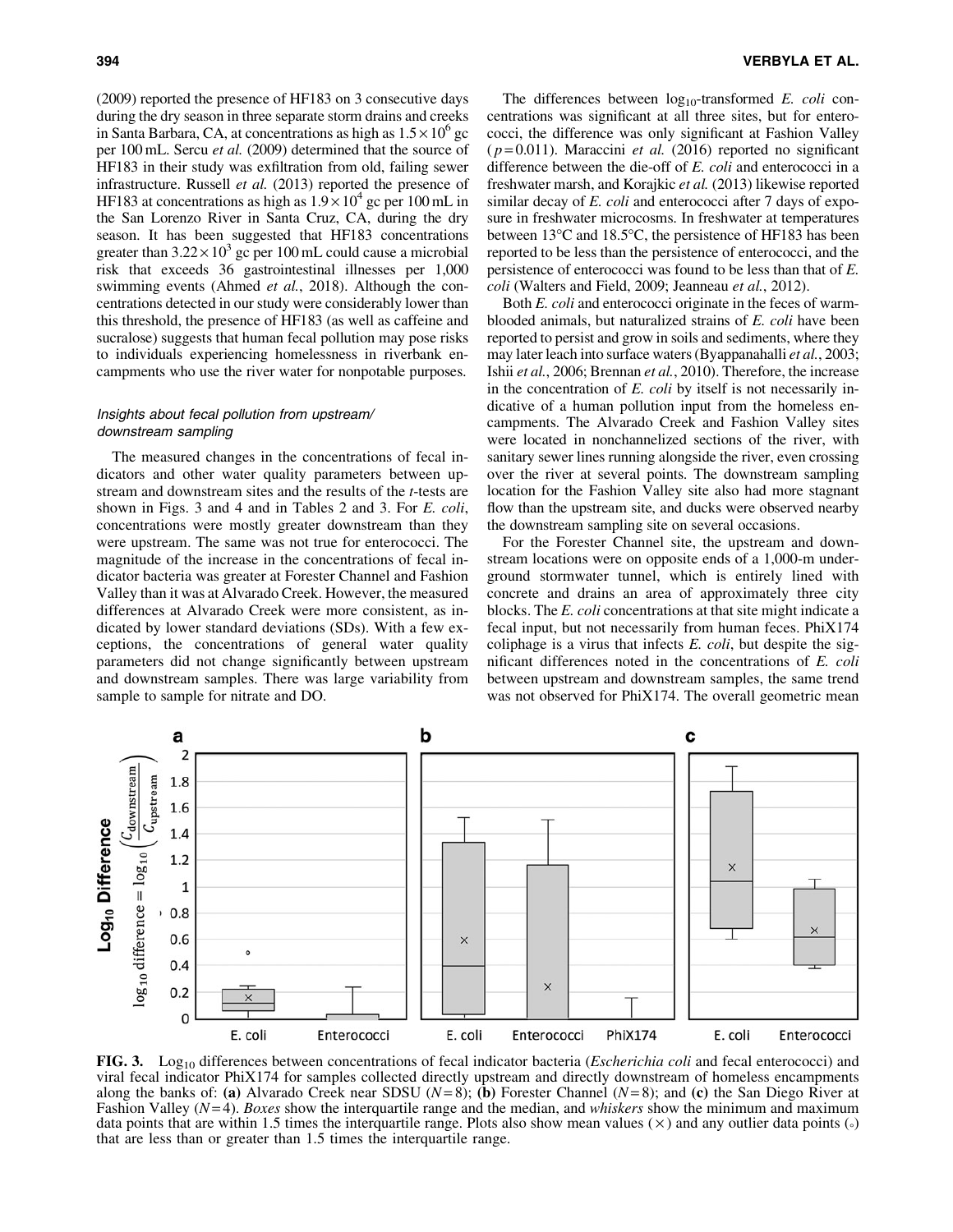(2009) reported the presence of HF183 on 3 consecutive days during the dry season in three separate storm drains and creeks in Santa Barbara, CA, at concentrations as high as  $1.5 \times 10^6$  gc per 100 mL. Sercu *et al.* (2009) determined that the source of HF183 in their study was exfiltration from old, failing sewer infrastructure. Russell *et al.* (2013) reported the presence of HF183 at concentrations as high as  $1.9 \times 10^4$  gc per 100 mL in the San Lorenzo River in Santa Cruz, CA, during the dry season. It has been suggested that HF183 concentrations greater than  $3.22 \times 10^3$  gc per 100 mL could cause a microbial risk that exceeds 36 gastrointestinal illnesses per 1,000 swimming events (Ahmed *et al.*, 2018). Although the concentrations detected in our study were considerably lower than this threshold, the presence of HF183 (as well as caffeine and sucralose) suggests that human fecal pollution may pose risks to individuals experiencing homelessness in riverbank encampments who use the river water for nonpotable purposes.

## Insights about fecal pollution from upstream/ downstream sampling

The measured changes in the concentrations of fecal indicators and other water quality parameters between upstream and downstream sites and the results of the *t*-tests are shown in Figs. 3 and 4 and in Tables 2 and 3. For *E. coli*, concentrations were mostly greater downstream than they were upstream. The same was not true for enterococci. The magnitude of the increase in the concentrations of fecal indicator bacteria was greater at Forester Channel and Fashion Valley than it was at Alvarado Creek. However, the measured differences at Alvarado Creek were more consistent, as indicated by lower standard deviations (SDs). With a few exceptions, the concentrations of general water quality parameters did not change significantly between upstream and downstream samples. There was large variability from sample to sample for nitrate and DO.

The differences between  $log_{10}$ -transformed *E. coli* concentrations was significant at all three sites, but for enterococci, the difference was only significant at Fashion Valley ( *p* = 0.011). Maraccini *et al.* (2016) reported no significant difference between the die-off of *E. coli* and enterococci in a freshwater marsh, and Korajkic *et al.* (2013) likewise reported similar decay of *E. coli* and enterococci after 7 days of exposure in freshwater microcosms. In freshwater at temperatures between  $13^{\circ}$ C and  $18.5^{\circ}$ C, the persistence of HF183 has been reported to be less than the persistence of enterococci, and the persistence of enterococci was found to be less than that of *E. coli* (Walters and Field, 2009; Jeanneau *et al.*, 2012).

Both *E. coli* and enterococci originate in the feces of warmblooded animals, but naturalized strains of *E. coli* have been reported to persist and grow in soils and sediments, where they may later leach into surface waters (Byappanahalli *et al.*, 2003; Ishii *et al.*, 2006; Brennan *et al.*, 2010). Therefore, the increase in the concentration of *E. coli* by itself is not necessarily indicative of a human pollution input from the homeless encampments. The Alvarado Creek and Fashion Valley sites were located in nonchannelized sections of the river, with sanitary sewer lines running alongside the river, even crossing over the river at several points. The downstream sampling location for the Fashion Valley site also had more stagnant flow than the upstream site, and ducks were observed nearby the downstream sampling site on several occasions.

For the Forester Channel site, the upstream and downstream locations were on opposite ends of a 1,000-m underground stormwater tunnel, which is entirely lined with concrete and drains an area of approximately three city blocks. The *E. coli* concentrations at that site might indicate a fecal input, but not necessarily from human feces. PhiX174 coliphage is a virus that infects *E. coli*, but despite the significant differences noted in the concentrations of *E. coli* between upstream and downstream samples, the same trend was not observed for PhiX174. The overall geometric mean



FIG. 3. Log<sub>10</sub> differences between concentrations of fecal indicator bacteria (*Escherichia coli* and fecal enterococci) and viral fecal indicator PhiX174 for samples collected directly upstream and directly downstream of homeless encampments along the banks of: (a) Alvarado Creek near SDSU  $(N=8)$ ; (b) Forester Channel  $(N=8)$ ; and (c) the San Diego River at Fashion Valley (*N* = 4). *Boxes* show the interquartile range and the median, and *whiskers* show the minimum and maximum data points that are within 1.5 times the interquartile range. Plots also show mean values ( $\times$ ) and any outlier data points ( $\circ$ ) that are less than or greater than 1.5 times the interquartile range.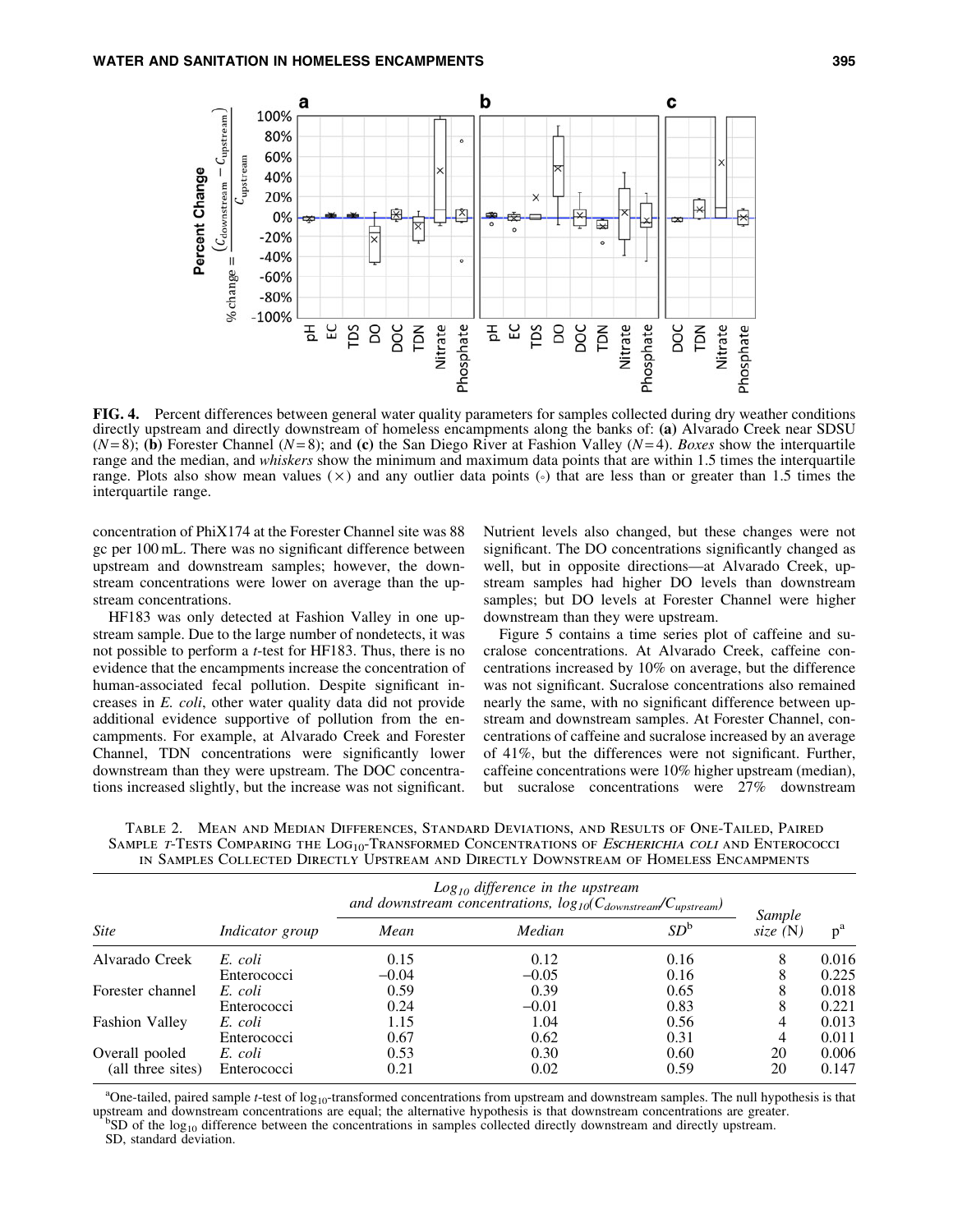

FIG. 4. Percent differences between general water quality parameters for samples collected during dry weather conditions directly upstream and directly downstream of homeless encampments along the banks of: (a) Alvarado Creek near SDSU (*N* = 8); (b) Forester Channel (*N*= 8); and (c) the San Diego River at Fashion Valley (*N*= 4). *Boxes* show the interquartile range and the median, and *whiskers* show the minimum and maximum data points that are within 1.5 times the interquartile range. Plots also show mean values  $(\times)$  and any outlier data points  $(\cdot)$  that are less than or greater than 1.5 times the interquartile range.

concentration of PhiX174 at the Forester Channel site was 88 gc per 100 mL. There was no significant difference between upstream and downstream samples; however, the downstream concentrations were lower on average than the upstream concentrations.

HF183 was only detected at Fashion Valley in one upstream sample. Due to the large number of nondetects, it was not possible to perform a *t*-test for HF183. Thus, there is no evidence that the encampments increase the concentration of human-associated fecal pollution. Despite significant increases in *E. coli*, other water quality data did not provide additional evidence supportive of pollution from the encampments. For example, at Alvarado Creek and Forester Channel, TDN concentrations were significantly lower downstream than they were upstream. The DOC concentrations increased slightly, but the increase was not significant.

Nutrient levels also changed, but these changes were not significant. The DO concentrations significantly changed as well, but in opposite directions—at Alvarado Creek, upstream samples had higher DO levels than downstream samples; but DO levels at Forester Channel were higher downstream than they were upstream.

Figure 5 contains a time series plot of caffeine and sucralose concentrations. At Alvarado Creek, caffeine concentrations increased by 10% on average, but the difference was not significant. Sucralose concentrations also remained nearly the same, with no significant difference between upstream and downstream samples. At Forester Channel, concentrations of caffeine and sucralose increased by an average of 41%, but the differences were not significant. Further, caffeine concentrations were 10% higher upstream (median), but sucralose concentrations were 27% downstream

| <b>Site</b>                         |                        | $Log_{10}$ difference in the upstream<br>and downstream concentrations, $log_{10}(C_{downstream}/C_{upstream})$ |         |        |                      |       |
|-------------------------------------|------------------------|-----------------------------------------------------------------------------------------------------------------|---------|--------|----------------------|-------|
|                                     | <i>Indicator group</i> | Mean                                                                                                            | Median  | $SD^b$ | Sample<br>size $(N)$ | $p^a$ |
| Alvarado Creek                      | E. coli                | 0.15                                                                                                            | 0.12    | 0.16   | 8                    | 0.016 |
|                                     | Enterococci            | $-0.04$                                                                                                         | $-0.05$ | 0.16   | 8                    | 0.225 |
| Forester channel                    | E. coli                | 0.59                                                                                                            | 0.39    | 0.65   | 8                    | 0.018 |
|                                     | Enterococci            | 0.24                                                                                                            | $-0.01$ | 0.83   | 8                    | 0.221 |
| <b>Fashion Valley</b>               | E. coli                | 1.15                                                                                                            | 1.04    | 0.56   | 4                    | 0.013 |
|                                     | Enterococci            | 0.67                                                                                                            | 0.62    | 0.31   | 4                    | 0.011 |
| Overall pooled<br>(all three sites) | E. coli                | 0.53                                                                                                            | 0.30    | 0.60   | 20                   | 0.006 |
|                                     | Enterococci            | 0.21                                                                                                            | 0.02    | 0.59   | 20                   | 0.147 |

Table 2. Mean and Median Differences, Standard Deviations, and Results of One-Tailed, Paired SAMPLE T-TESTS COMPARING THE LOG<sub>10</sub>-TRANSFORMED CONCENTRATIONS OF *ESCHERICHIA COLI* AND ENTEROCOCCI in Samples Collected Directly Upstream and Directly Downstream of Homeless Encampments

<sup>a</sup>One-tailed, paired sample *t*-test of log<sub>10</sub>-transformed concentrations from upstream and downstream samples. The null hypothesis is that

upstream and downstream concentrations are equal; the alternative hypothesis is that downstream concentrations are greater.<br><sup>b</sup>SD of the log<sub>10</sub> difference between the concentrations in samples collected directly downstrea SD, standard deviation.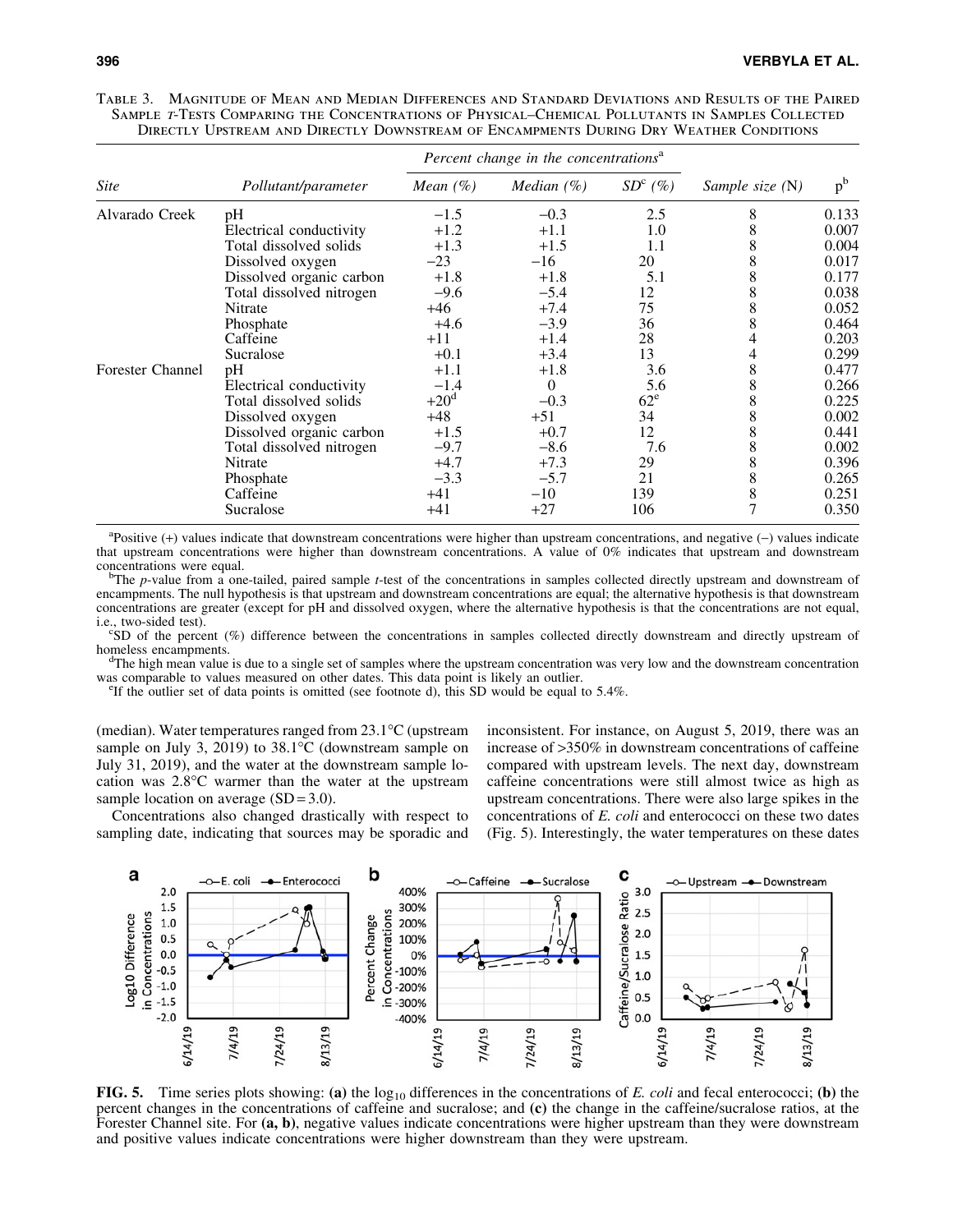| <i>Site</i>             |                          | Percent change in the concentrations <sup>a</sup> |                      |           |                 |         |  |
|-------------------------|--------------------------|---------------------------------------------------|----------------------|-----------|-----------------|---------|--|
|                         | Pollutant/parameter      | Mean $(\%)$                                       | <i>Median</i> $(\%)$ | $SDc(\%)$ | Sample size (N) | $p^{b}$ |  |
| Alvarado Creek          | pH                       | $-1.5$                                            | $-0.3$               | 2.5       | 8               | 0.133   |  |
|                         | Electrical conductivity  | $+1.2$                                            | $+1.1$               | 1.0       | 8               | 0.007   |  |
|                         | Total dissolved solids   | $+1.3$                                            | $+1.5$               | 1.1       | 8               | 0.004   |  |
|                         | Dissolved oxygen         | $-23$                                             | $-16$                | 20        | 8               | 0.017   |  |
|                         | Dissolved organic carbon | $+1.8$                                            | $+1.8$               | 5.1       | 8               | 0.177   |  |
|                         | Total dissolved nitrogen | $-9.6$                                            | $-5.4$               | 12        | 8               | 0.038   |  |
|                         | Nitrate                  | $+46$                                             | $+7.4$               | 75        | 8               | 0.052   |  |
|                         | Phosphate                | $+4.6$                                            | $-3.9$               | 36        | 8               | 0.464   |  |
|                         | Caffeine                 | $+11$                                             | $+1.4$               | 28        | 4               | 0.203   |  |
|                         | Sucralose                | $+0.1$                                            | $+3.4$               | 13        | 4               | 0.299   |  |
| <b>Forester Channel</b> | pH                       | $+1.1$                                            | $+1.8$               | 3.6       | 8               | 0.477   |  |
|                         | Electrical conductivity  | $-1.4$                                            | $\theta$             | 5.6       | 8               | 0.266   |  |
|                         | Total dissolved solids   | $+20d$                                            | $-0.3$               | $62^e$    | 8               | 0.225   |  |
|                         | Dissolved oxygen         | $+48$                                             | $+51$                | 34        | 8               | 0.002   |  |
|                         | Dissolved organic carbon | $+1.5$                                            | $+0.7$               | 12        | 8               | 0.441   |  |
|                         | Total dissolved nitrogen | $-9.7$                                            | $-8.6$               | 7.6       | 8               | 0.002   |  |
|                         | Nitrate                  | $+4.7$                                            | $+7.3$               | 29        | 8               | 0.396   |  |
|                         | Phosphate                | $-3.3$                                            | $-5.7$               | 21        | 8               | 0.265   |  |
|                         | Caffeine                 | $+41$                                             | $-10$                | 139       | 8               | 0.251   |  |
|                         | Sucralose                | +41                                               | $+27$                | 106       |                 | 0.350   |  |

Table 3. Magnitude of Mean and Median Differences and Standard Deviations and Results of the Paired SAMPLE T-TESTS COMPARING THE CONCENTRATIONS OF PHYSICAL–CHEMICAL POLLUTANTS IN SAMPLES COLLECTED Directly Upstream and Directly Downstream of Encampments During Dry Weather Conditions

<sup>a</sup>Positive (+) values indicate that downstream concentrations were higher than upstream concentrations, and negative (-) values indicate that upstream concentrations were higher than downstream concentrations. A value of 0% indicates that upstream and downstream concentrations were equal.

<sup>b</sup>The *p*-value from a one-tailed, paired sample *t*-test of the concentrations in samples collected directly upstream and downstream of encampments. The null hypothesis is that upstream and downstream concentrations are equal; the alternative hypothesis is that downstream concentrations are greater (except for pH and dissolved oxygen, where the alternative hypothesis is that the concentrations are not equal, i.e., two-sided test).

 $^{\circ}$ SD of the percent (%) difference between the concentrations in samples collected directly downstream and directly upstream of homeless encampments.

<sup>d</sup>The high mean value is due to a single set of samples where the upstream concentration was very low and the downstream concentration was comparable to values measured on other dates. This data point is likely an outlier.

<sup>e</sup>If the outlier set of data points is omitted (see footnote d), this SD would be equal to  $5.4\%$ .

(median). Water temperatures ranged from  $23.1^{\circ}$ C (upstream sample on July 3, 2019) to  $38.1^{\circ}$ C (downstream sample on July 31, 2019), and the water at the downstream sample location was  $2.8^{\circ}$ C warmer than the water at the upstream sample location on average  $(SD = 3.0)$ .

Concentrations also changed drastically with respect to sampling date, indicating that sources may be sporadic and inconsistent. For instance, on August 5, 2019, there was an increase of >350% in downstream concentrations of caffeine compared with upstream levels. The next day, downstream caffeine concentrations were still almost twice as high as upstream concentrations. There were also large spikes in the concentrations of *E. coli* and enterococci on these two dates (Fig. 5). Interestingly, the water temperatures on these dates



FIG. 5. Time series plots showing: (a) the  $log_{10}$  differences in the concentrations of *E. coli* and fecal enterococci; (b) the percent changes in the concentrations of caffeine and sucralose; and (c) the change in the caffeine/sucralose ratios, at the Forester Channel site. For (a, b), negative values indicate concentrations were higher upstream than they were downstream and positive values indicate concentrations were higher downstream than they were upstream.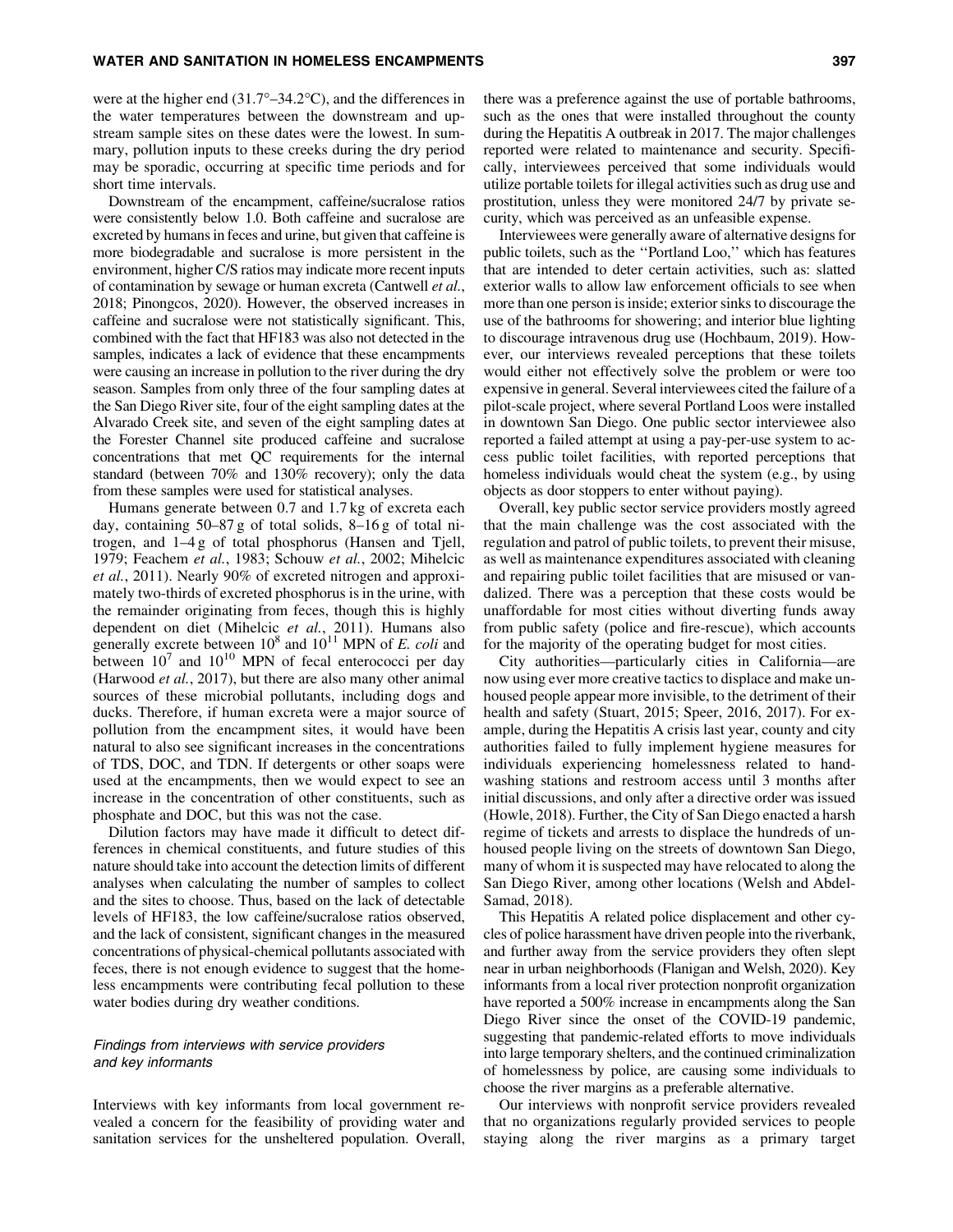### WATER AND SANITATION IN HOMELESS ENCAMPMENTS **SUMPLISHED ASSAULT** 397

were at the higher end (31.7°–34.2°C), and the differences in the water temperatures between the downstream and upstream sample sites on these dates were the lowest. In summary, pollution inputs to these creeks during the dry period may be sporadic, occurring at specific time periods and for short time intervals.

Downstream of the encampment, caffeine/sucralose ratios were consistently below 1.0. Both caffeine and sucralose are excreted by humans in feces and urine, but given that caffeine is more biodegradable and sucralose is more persistent in the environment, higher C/S ratios may indicate more recent inputs of contamination by sewage or human excreta (Cantwell *et al.*, 2018; Pinongcos, 2020). However, the observed increases in caffeine and sucralose were not statistically significant. This, combined with the fact that HF183 was also not detected in the samples, indicates a lack of evidence that these encampments were causing an increase in pollution to the river during the dry season. Samples from only three of the four sampling dates at the San Diego River site, four of the eight sampling dates at the Alvarado Creek site, and seven of the eight sampling dates at the Forester Channel site produced caffeine and sucralose concentrations that met QC requirements for the internal standard (between 70% and 130% recovery); only the data from these samples were used for statistical analyses.

Humans generate between 0.7 and 1.7 kg of excreta each day, containing 50–87 g of total solids, 8–16 g of total nitrogen, and 1–4 g of total phosphorus (Hansen and Tjell, 1979; Feachem *et al.*, 1983; Schouw *et al.*, 2002; Mihelcic *et al.*, 2011). Nearly 90% of excreted nitrogen and approximately two-thirds of excreted phosphorus is in the urine, with the remainder originating from feces, though this is highly dependent on diet (Mihelcic *et al.*, 2011). Humans also generally excrete between  $10^8$  and  $10^{11}$  MPN of *E. coli* and between  $10^7$  and  $10^{10}$  MPN of fecal enterococci per day (Harwood *et al.*, 2017), but there are also many other animal sources of these microbial pollutants, including dogs and ducks. Therefore, if human excreta were a major source of pollution from the encampment sites, it would have been natural to also see significant increases in the concentrations of TDS, DOC, and TDN. If detergents or other soaps were used at the encampments, then we would expect to see an increase in the concentration of other constituents, such as phosphate and DOC, but this was not the case.

Dilution factors may have made it difficult to detect differences in chemical constituents, and future studies of this nature should take into account the detection limits of different analyses when calculating the number of samples to collect and the sites to choose. Thus, based on the lack of detectable levels of HF183, the low caffeine/sucralose ratios observed, and the lack of consistent, significant changes in the measured concentrations of physical-chemical pollutants associated with feces, there is not enough evidence to suggest that the homeless encampments were contributing fecal pollution to these water bodies during dry weather conditions.

# Findings from interviews with service providers and key informants

Interviews with key informants from local government revealed a concern for the feasibility of providing water and sanitation services for the unsheltered population. Overall,

there was a preference against the use of portable bathrooms, such as the ones that were installed throughout the county during the Hepatitis A outbreak in 2017. The major challenges reported were related to maintenance and security. Specifically, interviewees perceived that some individuals would utilize portable toilets for illegal activities such as drug use and prostitution, unless they were monitored 24/7 by private security, which was perceived as an unfeasible expense.

Interviewees were generally aware of alternative designs for public toilets, such as the ''Portland Loo,'' which has features that are intended to deter certain activities, such as: slatted exterior walls to allow law enforcement officials to see when more than one person is inside; exterior sinks to discourage the use of the bathrooms for showering; and interior blue lighting to discourage intravenous drug use (Hochbaum, 2019). However, our interviews revealed perceptions that these toilets would either not effectively solve the problem or were too expensive in general. Several interviewees cited the failure of a pilot-scale project, where several Portland Loos were installed in downtown San Diego. One public sector interviewee also reported a failed attempt at using a pay-per-use system to access public toilet facilities, with reported perceptions that homeless individuals would cheat the system (e.g., by using objects as door stoppers to enter without paying).

Overall, key public sector service providers mostly agreed that the main challenge was the cost associated with the regulation and patrol of public toilets, to prevent their misuse, as well as maintenance expenditures associated with cleaning and repairing public toilet facilities that are misused or vandalized. There was a perception that these costs would be unaffordable for most cities without diverting funds away from public safety (police and fire-rescue), which accounts for the majority of the operating budget for most cities.

City authorities—particularly cities in California—are now using ever more creative tactics to displace and make unhoused people appear more invisible, to the detriment of their health and safety (Stuart, 2015; Speer, 2016, 2017). For example, during the Hepatitis A crisis last year, county and city authorities failed to fully implement hygiene measures for individuals experiencing homelessness related to handwashing stations and restroom access until 3 months after initial discussions, and only after a directive order was issued (Howle, 2018). Further, the City of San Diego enacted a harsh regime of tickets and arrests to displace the hundreds of unhoused people living on the streets of downtown San Diego, many of whom it is suspected may have relocated to along the San Diego River, among other locations (Welsh and Abdel-Samad, 2018).

This Hepatitis A related police displacement and other cycles of police harassment have driven people into the riverbank, and further away from the service providers they often slept near in urban neighborhoods (Flanigan and Welsh, 2020). Key informants from a local river protection nonprofit organization have reported a 500% increase in encampments along the San Diego River since the onset of the COVID-19 pandemic, suggesting that pandemic-related efforts to move individuals into large temporary shelters, and the continued criminalization of homelessness by police, are causing some individuals to choose the river margins as a preferable alternative.

Our interviews with nonprofit service providers revealed that no organizations regularly provided services to people staying along the river margins as a primary target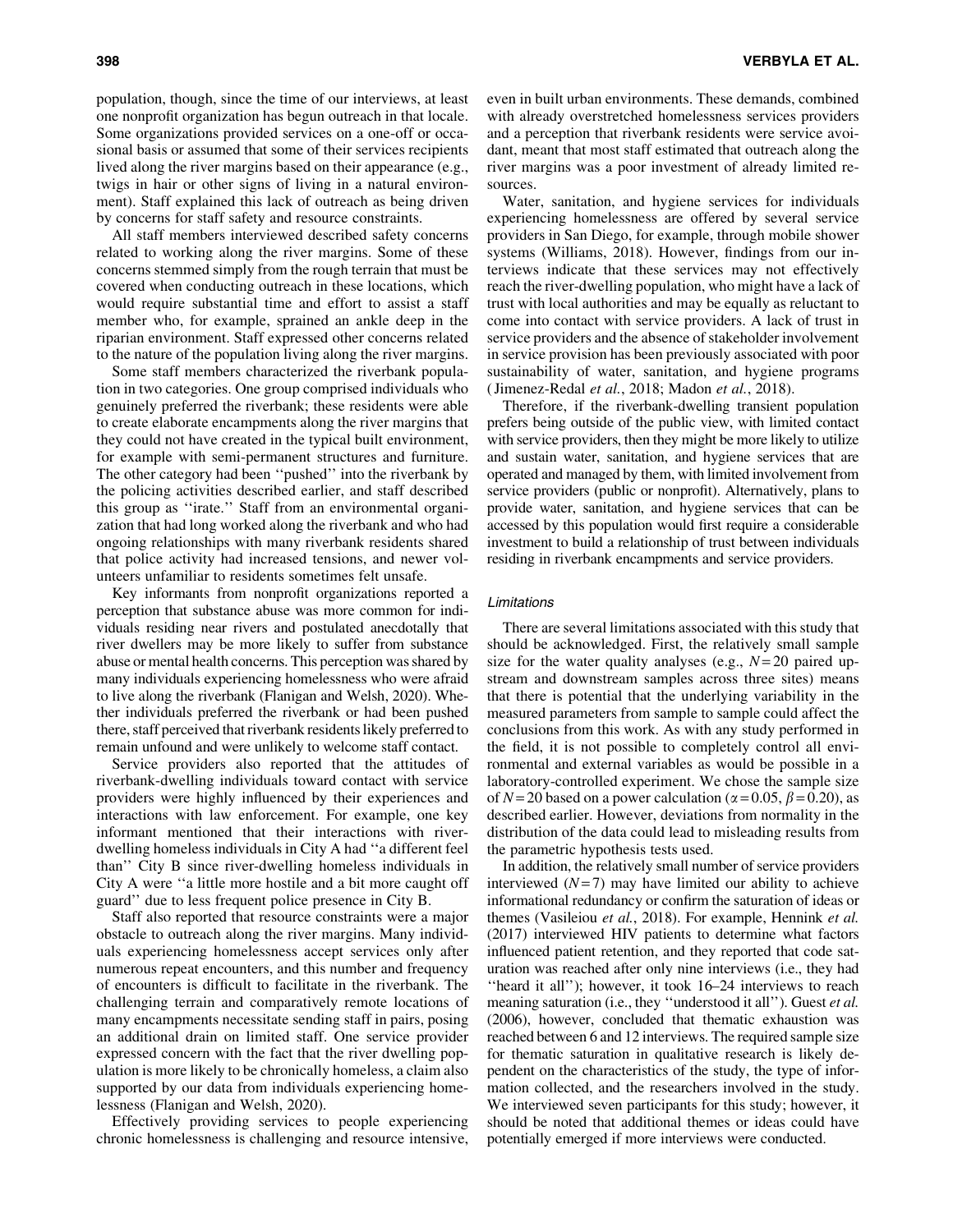population, though, since the time of our interviews, at least one nonprofit organization has begun outreach in that locale. Some organizations provided services on a one-off or occasional basis or assumed that some of their services recipients lived along the river margins based on their appearance (e.g., twigs in hair or other signs of living in a natural environment). Staff explained this lack of outreach as being driven by concerns for staff safety and resource constraints.

All staff members interviewed described safety concerns related to working along the river margins. Some of these concerns stemmed simply from the rough terrain that must be covered when conducting outreach in these locations, which would require substantial time and effort to assist a staff member who, for example, sprained an ankle deep in the riparian environment. Staff expressed other concerns related to the nature of the population living along the river margins.

Some staff members characterized the riverbank population in two categories. One group comprised individuals who genuinely preferred the riverbank; these residents were able to create elaborate encampments along the river margins that they could not have created in the typical built environment, for example with semi-permanent structures and furniture. The other category had been ''pushed'' into the riverbank by the policing activities described earlier, and staff described this group as ''irate.'' Staff from an environmental organization that had long worked along the riverbank and who had ongoing relationships with many riverbank residents shared that police activity had increased tensions, and newer volunteers unfamiliar to residents sometimes felt unsafe.

Key informants from nonprofit organizations reported a perception that substance abuse was more common for individuals residing near rivers and postulated anecdotally that river dwellers may be more likely to suffer from substance abuse or mental health concerns. This perception was shared by many individuals experiencing homelessness who were afraid to live along the riverbank (Flanigan and Welsh, 2020). Whether individuals preferred the riverbank or had been pushed there, staff perceived that riverbank residents likely preferred to remain unfound and were unlikely to welcome staff contact.

Service providers also reported that the attitudes of riverbank-dwelling individuals toward contact with service providers were highly influenced by their experiences and interactions with law enforcement. For example, one key informant mentioned that their interactions with riverdwelling homeless individuals in City A had ''a different feel than'' City B since river-dwelling homeless individuals in City A were ''a little more hostile and a bit more caught off guard'' due to less frequent police presence in City B.

Staff also reported that resource constraints were a major obstacle to outreach along the river margins. Many individuals experiencing homelessness accept services only after numerous repeat encounters, and this number and frequency of encounters is difficult to facilitate in the riverbank. The challenging terrain and comparatively remote locations of many encampments necessitate sending staff in pairs, posing an additional drain on limited staff. One service provider expressed concern with the fact that the river dwelling population is more likely to be chronically homeless, a claim also supported by our data from individuals experiencing homelessness (Flanigan and Welsh, 2020).

Effectively providing services to people experiencing chronic homelessness is challenging and resource intensive, even in built urban environments. These demands, combined with already overstretched homelessness services providers and a perception that riverbank residents were service avoidant, meant that most staff estimated that outreach along the river margins was a poor investment of already limited resources.

Water, sanitation, and hygiene services for individuals experiencing homelessness are offered by several service providers in San Diego, for example, through mobile shower systems (Williams, 2018). However, findings from our interviews indicate that these services may not effectively reach the river-dwelling population, who might have a lack of trust with local authorities and may be equally as reluctant to come into contact with service providers. A lack of trust in service providers and the absence of stakeholder involvement in service provision has been previously associated with poor sustainability of water, sanitation, and hygiene programs ( Jimenez-Redal *et al.*, 2018; Madon *et al.*, 2018).

Therefore, if the riverbank-dwelling transient population prefers being outside of the public view, with limited contact with service providers, then they might be more likely to utilize and sustain water, sanitation, and hygiene services that are operated and managed by them, with limited involvement from service providers (public or nonprofit). Alternatively, plans to provide water, sanitation, and hygiene services that can be accessed by this population would first require a considerable investment to build a relationship of trust between individuals residing in riverbank encampments and service providers.

## Limitations

There are several limitations associated with this study that should be acknowledged. First, the relatively small sample size for the water quality analyses (e.g.,  $N=20$  paired upstream and downstream samples across three sites) means that there is potential that the underlying variability in the measured parameters from sample to sample could affect the conclusions from this work. As with any study performed in the field, it is not possible to completely control all environmental and external variables as would be possible in a laboratory-controlled experiment. We chose the sample size of  $N = 20$  based on a power calculation ( $\alpha = 0.05$ ,  $\beta = 0.20$ ), as described earlier. However, deviations from normality in the distribution of the data could lead to misleading results from the parametric hypothesis tests used.

In addition, the relatively small number of service providers interviewed  $(N=7)$  may have limited our ability to achieve informational redundancy or confirm the saturation of ideas or themes (Vasileiou *et al.*, 2018). For example, Hennink *et al.* (2017) interviewed HIV patients to determine what factors influenced patient retention, and they reported that code saturation was reached after only nine interviews (i.e., they had ''heard it all''); however, it took 16–24 interviews to reach meaning saturation (i.e., they ''understood it all''). Guest *et al.* (2006), however, concluded that thematic exhaustion was reached between 6 and 12 interviews. The required sample size for thematic saturation in qualitative research is likely dependent on the characteristics of the study, the type of information collected, and the researchers involved in the study. We interviewed seven participants for this study; however, it should be noted that additional themes or ideas could have potentially emerged if more interviews were conducted.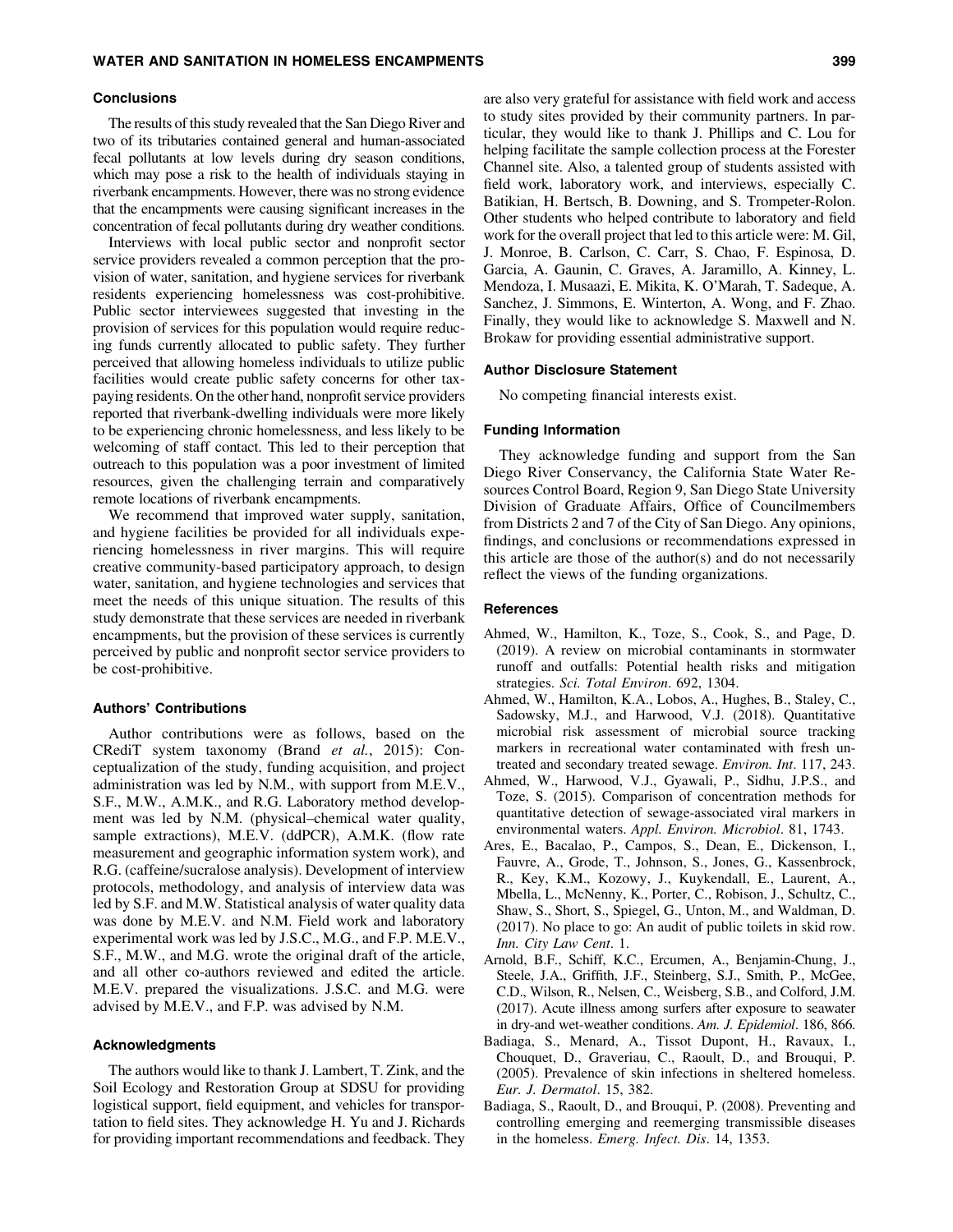#### **Conclusions**

The results of this study revealed that the San Diego River and two of its tributaries contained general and human-associated fecal pollutants at low levels during dry season conditions, which may pose a risk to the health of individuals staying in riverbank encampments. However, there was no strong evidence that the encampments were causing significant increases in the concentration of fecal pollutants during dry weather conditions.

Interviews with local public sector and nonprofit sector service providers revealed a common perception that the provision of water, sanitation, and hygiene services for riverbank residents experiencing homelessness was cost-prohibitive. Public sector interviewees suggested that investing in the provision of services for this population would require reducing funds currently allocated to public safety. They further perceived that allowing homeless individuals to utilize public facilities would create public safety concerns for other taxpaying residents. On the other hand, nonprofit service providers reported that riverbank-dwelling individuals were more likely to be experiencing chronic homelessness, and less likely to be welcoming of staff contact. This led to their perception that outreach to this population was a poor investment of limited resources, given the challenging terrain and comparatively remote locations of riverbank encampments.

We recommend that improved water supply, sanitation, and hygiene facilities be provided for all individuals experiencing homelessness in river margins. This will require creative community-based participatory approach, to design water, sanitation, and hygiene technologies and services that meet the needs of this unique situation. The results of this study demonstrate that these services are needed in riverbank encampments, but the provision of these services is currently perceived by public and nonprofit sector service providers to be cost-prohibitive.

## Authors' Contributions

Author contributions were as follows, based on the CRediT system taxonomy (Brand *et al.*, 2015): Conceptualization of the study, funding acquisition, and project administration was led by N.M., with support from M.E.V., S.F., M.W., A.M.K., and R.G. Laboratory method development was led by N.M. (physical–chemical water quality, sample extractions), M.E.V. (ddPCR), A.M.K. (flow rate measurement and geographic information system work), and R.G. (caffeine/sucralose analysis). Development of interview protocols, methodology, and analysis of interview data was led by S.F. and M.W. Statistical analysis of water quality data was done by M.E.V. and N.M. Field work and laboratory experimental work was led by J.S.C., M.G., and F.P. M.E.V., S.F., M.W., and M.G. wrote the original draft of the article, and all other co-authors reviewed and edited the article. M.E.V. prepared the visualizations. J.S.C. and M.G. were advised by M.E.V., and F.P. was advised by N.M.

### Acknowledgments

The authors would like to thank J. Lambert, T. Zink, and the Soil Ecology and Restoration Group at SDSU for providing logistical support, field equipment, and vehicles for transportation to field sites. They acknowledge H. Yu and J. Richards for providing important recommendations and feedback. They are also very grateful for assistance with field work and access to study sites provided by their community partners. In particular, they would like to thank J. Phillips and C. Lou for helping facilitate the sample collection process at the Forester Channel site. Also, a talented group of students assisted with field work, laboratory work, and interviews, especially C. Batikian, H. Bertsch, B. Downing, and S. Trompeter-Rolon. Other students who helped contribute to laboratory and field work for the overall project that led to this article were: M. Gil, J. Monroe, B. Carlson, C. Carr, S. Chao, F. Espinosa, D. Garcia, A. Gaunin, C. Graves, A. Jaramillo, A. Kinney, L. Mendoza, I. Musaazi, E. Mikita, K. O'Marah, T. Sadeque, A. Sanchez, J. Simmons, E. Winterton, A. Wong, and F. Zhao. Finally, they would like to acknowledge S. Maxwell and N. Brokaw for providing essential administrative support.

#### Author Disclosure Statement

No competing financial interests exist.

#### Funding Information

They acknowledge funding and support from the San Diego River Conservancy, the California State Water Resources Control Board, Region 9, San Diego State University Division of Graduate Affairs, Office of Councilmembers from Districts 2 and 7 of the City of San Diego. Any opinions, findings, and conclusions or recommendations expressed in this article are those of the author(s) and do not necessarily reflect the views of the funding organizations.

# References

- Ahmed, W., Hamilton, K., Toze, S., Cook, S., and Page, D. (2019). A review on microbial contaminants in stormwater runoff and outfalls: Potential health risks and mitigation strategies. *Sci. Total Environ*. 692, 1304.
- Ahmed, W., Hamilton, K.A., Lobos, A., Hughes, B., Staley, C., Sadowsky, M.J., and Harwood, V.J. (2018). Quantitative microbial risk assessment of microbial source tracking markers in recreational water contaminated with fresh untreated and secondary treated sewage. *Environ. Int*. 117, 243.
- Ahmed, W., Harwood, V.J., Gyawali, P., Sidhu, J.P.S., and Toze, S. (2015). Comparison of concentration methods for quantitative detection of sewage-associated viral markers in environmental waters. *Appl. Environ. Microbiol*. 81, 1743.
- Ares, E., Bacalao, P., Campos, S., Dean, E., Dickenson, I., Fauvre, A., Grode, T., Johnson, S., Jones, G., Kassenbrock, R., Key, K.M., Kozowy, J., Kuykendall, E., Laurent, A., Mbella, L., McNenny, K., Porter, C., Robison, J., Schultz, C., Shaw, S., Short, S., Spiegel, G., Unton, M., and Waldman, D. (2017). No place to go: An audit of public toilets in skid row. *Inn. City Law Cent*. 1.
- Arnold, B.F., Schiff, K.C., Ercumen, A., Benjamin-Chung, J., Steele, J.A., Griffith, J.F., Steinberg, S.J., Smith, P., McGee, C.D., Wilson, R., Nelsen, C., Weisberg, S.B., and Colford, J.M. (2017). Acute illness among surfers after exposure to seawater in dry-and wet-weather conditions. *Am. J. Epidemiol*. 186, 866.
- Badiaga, S., Menard, A., Tissot Dupont, H., Ravaux, I., Chouquet, D., Graveriau, C., Raoult, D., and Brouqui, P. (2005). Prevalence of skin infections in sheltered homeless. *Eur. J. Dermatol*. 15, 382.
- Badiaga, S., Raoult, D., and Brouqui, P. (2008). Preventing and controlling emerging and reemerging transmissible diseases in the homeless. *Emerg. Infect. Dis*. 14, 1353.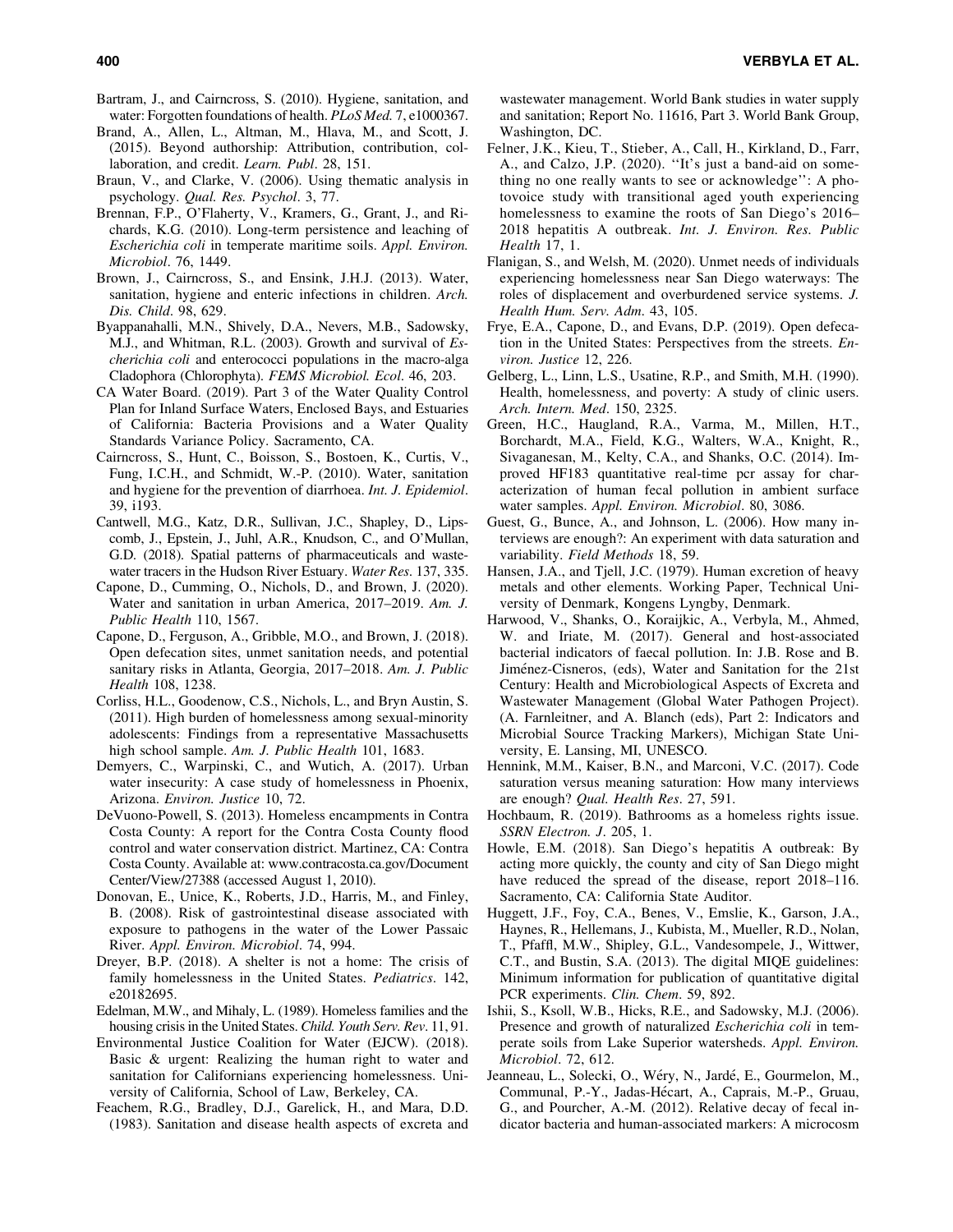- Bartram, J., and Cairncross, S. (2010). Hygiene, sanitation, and water: Forgotten foundations of health. *PLoS Med.* 7, e1000367.
- Brand, A., Allen, L., Altman, M., Hlava, M., and Scott, J. (2015). Beyond authorship: Attribution, contribution, collaboration, and credit. *Learn. Publ*. 28, 151.
- Braun, V., and Clarke, V. (2006). Using thematic analysis in psychology. *Qual. Res. Psychol*. 3, 77.
- Brennan, F.P., O'Flaherty, V., Kramers, G., Grant, J., and Richards, K.G. (2010). Long-term persistence and leaching of *Escherichia coli* in temperate maritime soils. *Appl. Environ. Microbiol*. 76, 1449.
- Brown, J., Cairncross, S., and Ensink, J.H.J. (2013). Water, sanitation, hygiene and enteric infections in children. *Arch. Dis. Child*. 98, 629.
- Byappanahalli, M.N., Shively, D.A., Nevers, M.B., Sadowsky, M.J., and Whitman, R.L. (2003). Growth and survival of *Escherichia coli* and enterococci populations in the macro-alga Cladophora (Chlorophyta). *FEMS Microbiol. Ecol*. 46, 203.
- CA Water Board. (2019). Part 3 of the Water Quality Control Plan for Inland Surface Waters, Enclosed Bays, and Estuaries of California: Bacteria Provisions and a Water Quality Standards Variance Policy. Sacramento, CA.
- Cairncross, S., Hunt, C., Boisson, S., Bostoen, K., Curtis, V., Fung, I.C.H., and Schmidt, W.-P. (2010). Water, sanitation and hygiene for the prevention of diarrhoea. *Int. J. Epidemiol*. 39, i193.
- Cantwell, M.G., Katz, D.R., Sullivan, J.C., Shapley, D., Lipscomb, J., Epstein, J., Juhl, A.R., Knudson, C., and O'Mullan, G.D. (2018). Spatial patterns of pharmaceuticals and wastewater tracers in the Hudson River Estuary. *Water Res*. 137, 335.
- Capone, D., Cumming, O., Nichols, D., and Brown, J. (2020). Water and sanitation in urban America, 2017–2019. *Am. J. Public Health* 110, 1567.
- Capone, D., Ferguson, A., Gribble, M.O., and Brown, J. (2018). Open defecation sites, unmet sanitation needs, and potential sanitary risks in Atlanta, Georgia, 2017–2018. *Am. J. Public Health* 108, 1238.
- Corliss, H.L., Goodenow, C.S., Nichols, L., and Bryn Austin, S. (2011). High burden of homelessness among sexual-minority adolescents: Findings from a representative Massachusetts high school sample. *Am. J. Public Health* 101, 1683.
- Demyers, C., Warpinski, C., and Wutich, A. (2017). Urban water insecurity: A case study of homelessness in Phoenix, Arizona. *Environ. Justice* 10, 72.
- DeVuono-Powell, S. (2013). Homeless encampments in Contra Costa County: A report for the Contra Costa County flood control and water conservation district. Martinez, CA: Contra Costa County. Available at: [www.contracosta.ca.gov/Document](http://www.contracosta.ca.gov/DocumentCenter/View/27388) [Center/View/27388](http://www.contracosta.ca.gov/DocumentCenter/View/27388) (accessed August 1, 2010).
- Donovan, E., Unice, K., Roberts, J.D., Harris, M., and Finley, B. (2008). Risk of gastrointestinal disease associated with exposure to pathogens in the water of the Lower Passaic River. *Appl. Environ. Microbiol*. 74, 994.
- Dreyer, B.P. (2018). A shelter is not a home: The crisis of family homelessness in the United States. *Pediatrics*. 142, e20182695.
- Edelman, M.W., and Mihaly, L. (1989). Homeless families and the housing crisis in the United States. *Child. Youth Serv. Rev*. 11, 91.
- Environmental Justice Coalition for Water (EJCW). (2018). Basic & urgent: Realizing the human right to water and sanitation for Californians experiencing homelessness. University of California, School of Law, Berkeley, CA.
- Feachem, R.G., Bradley, D.J., Garelick, H., and Mara, D.D. (1983). Sanitation and disease health aspects of excreta and

wastewater management. World Bank studies in water supply and sanitation; Report No. 11616, Part 3. World Bank Group, Washington, DC.

- Felner, J.K., Kieu, T., Stieber, A., Call, H., Kirkland, D., Farr, A., and Calzo, J.P. (2020). ''It's just a band-aid on something no one really wants to see or acknowledge'': A photovoice study with transitional aged youth experiencing homelessness to examine the roots of San Diego's 2016– 2018 hepatitis A outbreak. *Int. J. Environ. Res. Public Health* 17, 1.
- Flanigan, S., and Welsh, M. (2020). Unmet needs of individuals experiencing homelessness near San Diego waterways: The roles of displacement and overburdened service systems. *J. Health Hum. Serv. Adm*. 43, 105.
- Frye, E.A., Capone, D., and Evans, D.P. (2019). Open defecation in the United States: Perspectives from the streets. *Environ. Justice* 12, 226.
- Gelberg, L., Linn, L.S., Usatine, R.P., and Smith, M.H. (1990). Health, homelessness, and poverty: A study of clinic users. *Arch. Intern. Med*. 150, 2325.
- Green, H.C., Haugland, R.A., Varma, M., Millen, H.T., Borchardt, M.A., Field, K.G., Walters, W.A., Knight, R., Sivaganesan, M., Kelty, C.A., and Shanks, O.C. (2014). Improved HF183 quantitative real-time pcr assay for characterization of human fecal pollution in ambient surface water samples. *Appl. Environ. Microbiol*. 80, 3086.
- Guest, G., Bunce, A., and Johnson, L. (2006). How many interviews are enough?: An experiment with data saturation and variability. *Field Methods* 18, 59.
- Hansen, J.A., and Tjell, J.C. (1979). Human excretion of heavy metals and other elements. Working Paper, Technical University of Denmark, Kongens Lyngby, Denmark.
- Harwood, V., Shanks, O., Koraijkic, A., Verbyla, M., Ahmed, W. and Iriate, M. (2017). General and host-associated bacterial indicators of faecal pollution. In: J.B. Rose and B. Jiménez-Cisneros, (eds), Water and Sanitation for the 21st Century: Health and Microbiological Aspects of Excreta and Wastewater Management (Global Water Pathogen Project). (A. Farnleitner, and A. Blanch (eds), Part 2: Indicators and Microbial Source Tracking Markers), Michigan State University, E. Lansing, MI, UNESCO.
- Hennink, M.M., Kaiser, B.N., and Marconi, V.C. (2017). Code saturation versus meaning saturation: How many interviews are enough? *Qual. Health Res*. 27, 591.
- Hochbaum, R. (2019). Bathrooms as a homeless rights issue. *SSRN Electron. J*. 205, 1.
- Howle, E.M. (2018). San Diego's hepatitis A outbreak: By acting more quickly, the county and city of San Diego might have reduced the spread of the disease, report 2018–116. Sacramento, CA: California State Auditor.
- Huggett, J.F., Foy, C.A., Benes, V., Emslie, K., Garson, J.A., Haynes, R., Hellemans, J., Kubista, M., Mueller, R.D., Nolan, T., Pfaffl, M.W., Shipley, G.L., Vandesompele, J., Wittwer, C.T., and Bustin, S.A. (2013). The digital MIQE guidelines: Minimum information for publication of quantitative digital PCR experiments. *Clin. Chem*. 59, 892.
- Ishii, S., Ksoll, W.B., Hicks, R.E., and Sadowsky, M.J. (2006). Presence and growth of naturalized *Escherichia coli* in temperate soils from Lake Superior watersheds. *Appl. Environ. Microbiol*. 72, 612.
- Jeanneau, L., Solecki, O., Wéry, N., Jardé, E., Gourmelon, M., Communal, P.-Y., Jadas-Hécart, A., Caprais, M.-P., Gruau, G., and Pourcher, A.-M. (2012). Relative decay of fecal indicator bacteria and human-associated markers: A microcosm